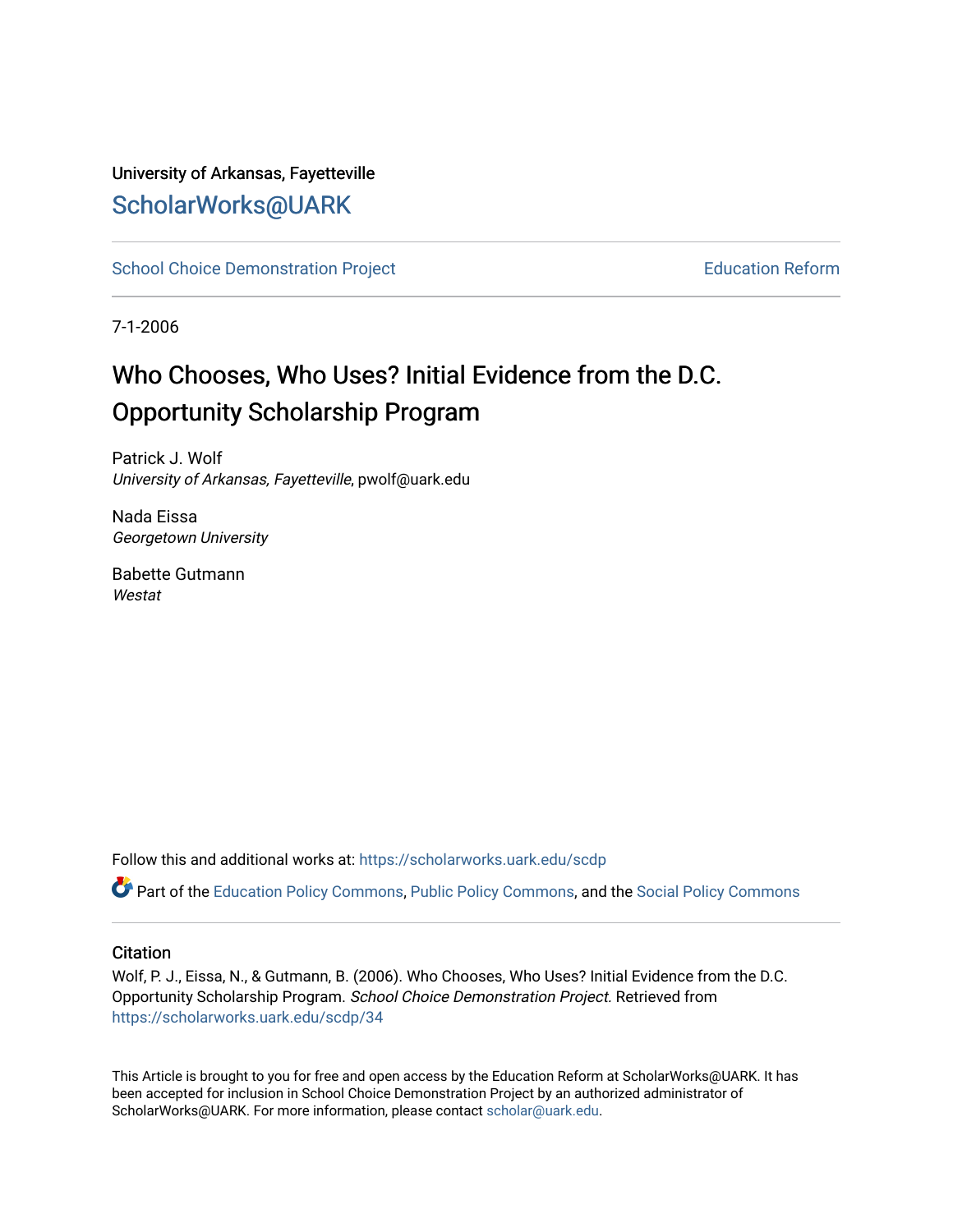## University of Arkansas, Fayetteville [ScholarWorks@UARK](https://scholarworks.uark.edu/)

[School Choice Demonstration Project](https://scholarworks.uark.edu/scdp) **Education Reform** Education Reform

7-1-2006

# Who Chooses, Who Uses? Initial Evidence from the D.C. Opportunity Scholarship Program

Patrick J. Wolf University of Arkansas, Fayetteville, pwolf@uark.edu

Nada Eissa Georgetown University

Babette Gutmann Westat

Follow this and additional works at: [https://scholarworks.uark.edu/scdp](https://scholarworks.uark.edu/scdp?utm_source=scholarworks.uark.edu%2Fscdp%2F34&utm_medium=PDF&utm_campaign=PDFCoverPages) 

Part of the [Education Policy Commons](http://network.bepress.com/hgg/discipline/1026?utm_source=scholarworks.uark.edu%2Fscdp%2F34&utm_medium=PDF&utm_campaign=PDFCoverPages), [Public Policy Commons](http://network.bepress.com/hgg/discipline/400?utm_source=scholarworks.uark.edu%2Fscdp%2F34&utm_medium=PDF&utm_campaign=PDFCoverPages), and the [Social Policy Commons](http://network.bepress.com/hgg/discipline/1030?utm_source=scholarworks.uark.edu%2Fscdp%2F34&utm_medium=PDF&utm_campaign=PDFCoverPages)

## **Citation**

Wolf, P. J., Eissa, N., & Gutmann, B. (2006). Who Chooses, Who Uses? Initial Evidence from the D.C. Opportunity Scholarship Program. School Choice Demonstration Project. Retrieved from [https://scholarworks.uark.edu/scdp/34](https://scholarworks.uark.edu/scdp/34?utm_source=scholarworks.uark.edu%2Fscdp%2F34&utm_medium=PDF&utm_campaign=PDFCoverPages)

This Article is brought to you for free and open access by the Education Reform at ScholarWorks@UARK. It has been accepted for inclusion in School Choice Demonstration Project by an authorized administrator of ScholarWorks@UARK. For more information, please contact [scholar@uark.edu](mailto:scholar@uark.edu).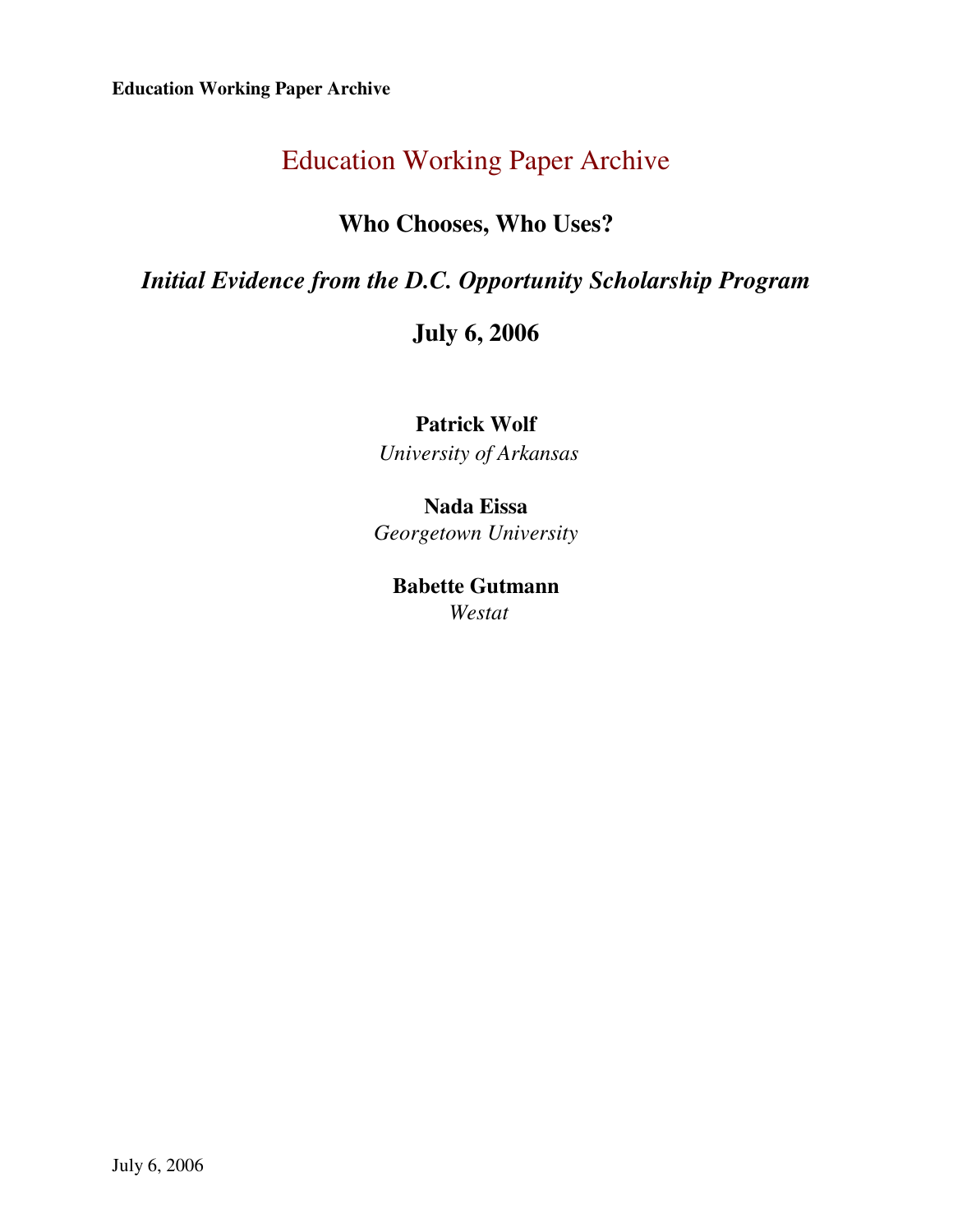## **Who Chooses, Who Uses?**

## *Initial Evidence from the D.C. Opportunity Scholarship Program*

## **July 6, 2006**

## **Patrick Wolf**   *University of Arkansas*

## **Nada Eissa**  *Georgetown University*

## **Babette Gutmann**  *Westat*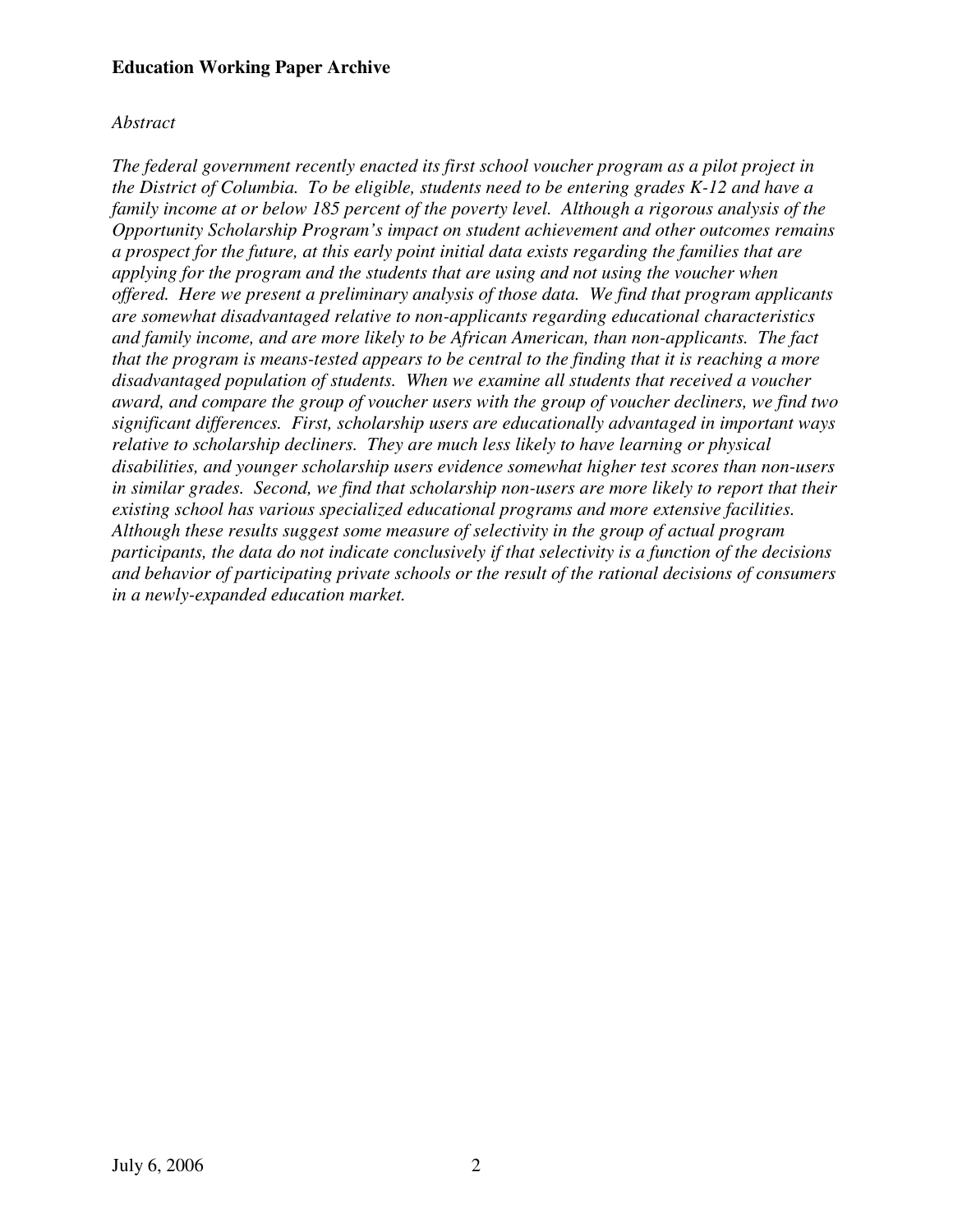## *Abstract*

*The federal government recently enacted its first school voucher program as a pilot project in the District of Columbia. To be eligible, students need to be entering grades K-12 and have a family income at or below 185 percent of the poverty level. Although a rigorous analysis of the Opportunity Scholarship Program's impact on student achievement and other outcomes remains a prospect for the future, at this early point initial data exists regarding the families that are applying for the program and the students that are using and not using the voucher when offered. Here we present a preliminary analysis of those data. We find that program applicants are somewhat disadvantaged relative to non-applicants regarding educational characteristics and family income, and are more likely to be African American, than non-applicants. The fact that the program is means-tested appears to be central to the finding that it is reaching a more disadvantaged population of students. When we examine all students that received a voucher award, and compare the group of voucher users with the group of voucher decliners, we find two significant differences. First, scholarship users are educationally advantaged in important ways relative to scholarship decliners. They are much less likely to have learning or physical disabilities, and younger scholarship users evidence somewhat higher test scores than non-users in similar grades. Second, we find that scholarship non-users are more likely to report that their existing school has various specialized educational programs and more extensive facilities. Although these results suggest some measure of selectivity in the group of actual program participants, the data do not indicate conclusively if that selectivity is a function of the decisions and behavior of participating private schools or the result of the rational decisions of consumers in a newly-expanded education market.*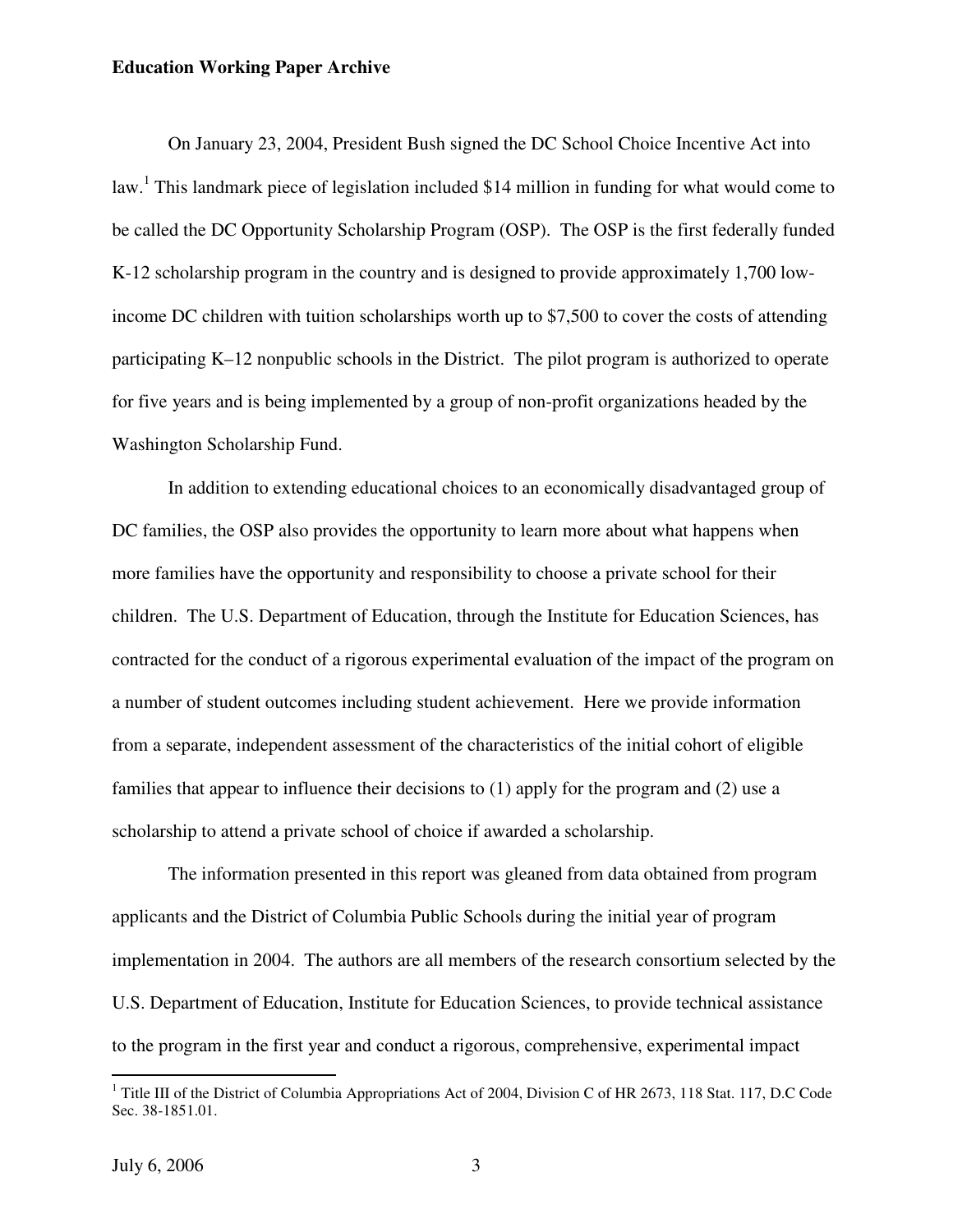On January 23, 2004, President Bush signed the DC School Choice Incentive Act into law.<sup>1</sup> This landmark piece of legislation included \$14 million in funding for what would come to be called the DC Opportunity Scholarship Program (OSP). The OSP is the first federally funded K-12 scholarship program in the country and is designed to provide approximately 1,700 lowincome DC children with tuition scholarships worth up to \$7,500 to cover the costs of attending participating K–12 nonpublic schools in the District. The pilot program is authorized to operate for five years and is being implemented by a group of non-profit organizations headed by the Washington Scholarship Fund.

In addition to extending educational choices to an economically disadvantaged group of DC families, the OSP also provides the opportunity to learn more about what happens when more families have the opportunity and responsibility to choose a private school for their children. The U.S. Department of Education, through the Institute for Education Sciences, has contracted for the conduct of a rigorous experimental evaluation of the impact of the program on a number of student outcomes including student achievement. Here we provide information from a separate, independent assessment of the characteristics of the initial cohort of eligible families that appear to influence their decisions to (1) apply for the program and (2) use a scholarship to attend a private school of choice if awarded a scholarship.

The information presented in this report was gleaned from data obtained from program applicants and the District of Columbia Public Schools during the initial year of program implementation in 2004. The authors are all members of the research consortium selected by the U.S. Department of Education, Institute for Education Sciences, to provide technical assistance to the program in the first year and conduct a rigorous, comprehensive, experimental impact

<sup>&</sup>lt;sup>1</sup> Title III of the District of Columbia Appropriations Act of 2004, Division C of HR 2673, 118 Stat. 117, D.C Code Sec. 38-1851.01.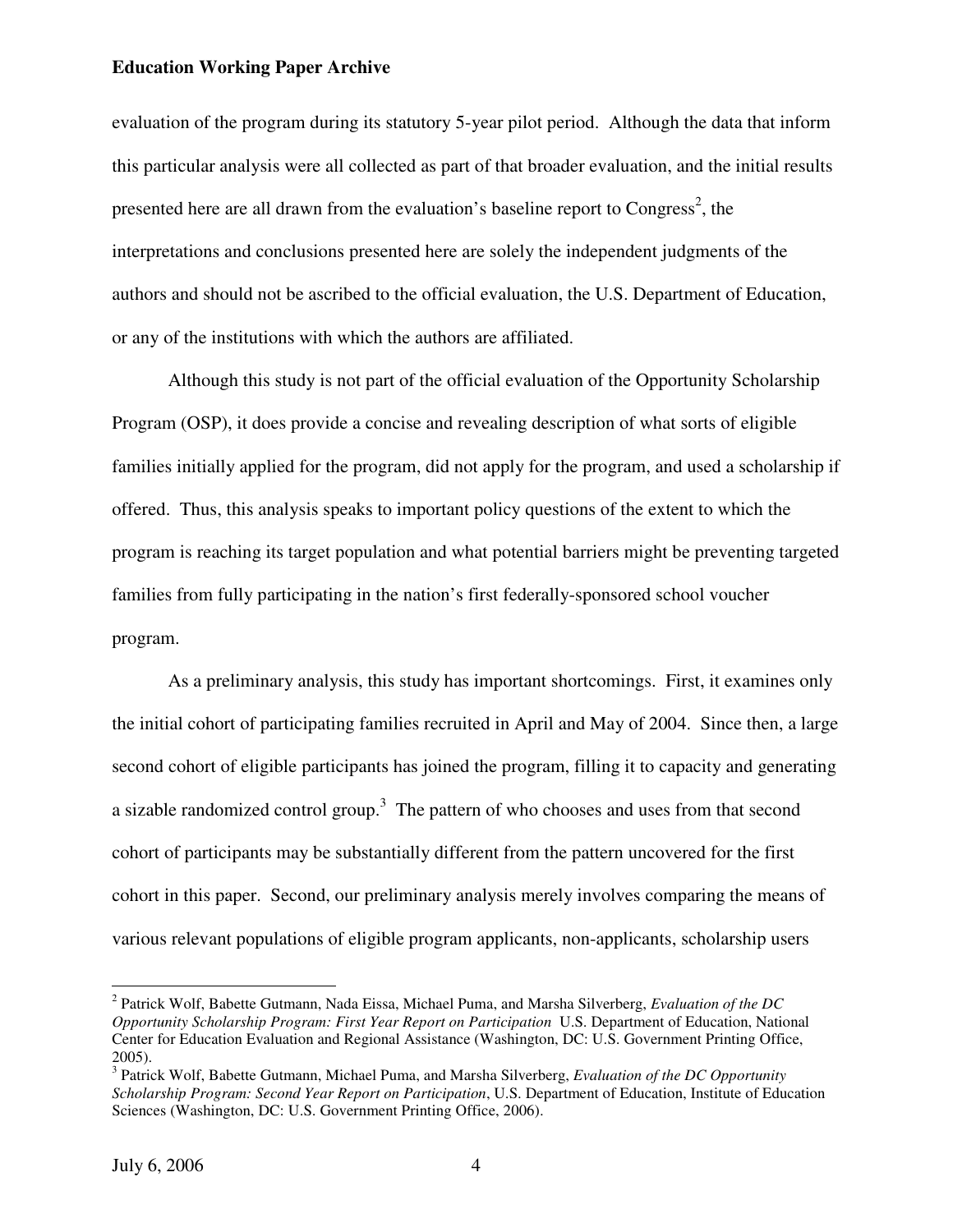evaluation of the program during its statutory 5-year pilot period. Although the data that inform this particular analysis were all collected as part of that broader evaluation, and the initial results presented here are all drawn from the evaluation's baseline report to Congress<sup>2</sup>, the interpretations and conclusions presented here are solely the independent judgments of the authors and should not be ascribed to the official evaluation, the U.S. Department of Education, or any of the institutions with which the authors are affiliated.

 Although this study is not part of the official evaluation of the Opportunity Scholarship Program (OSP), it does provide a concise and revealing description of what sorts of eligible families initially applied for the program, did not apply for the program, and used a scholarship if offered. Thus, this analysis speaks to important policy questions of the extent to which the program is reaching its target population and what potential barriers might be preventing targeted families from fully participating in the nation's first federally-sponsored school voucher program.

As a preliminary analysis, this study has important shortcomings. First, it examines only the initial cohort of participating families recruited in April and May of 2004. Since then, a large second cohort of eligible participants has joined the program, filling it to capacity and generating a sizable randomized control group.<sup>3</sup> The pattern of who chooses and uses from that second cohort of participants may be substantially different from the pattern uncovered for the first cohort in this paper. Second, our preliminary analysis merely involves comparing the means of various relevant populations of eligible program applicants, non-applicants, scholarship users

<sup>2</sup> Patrick Wolf, Babette Gutmann, Nada Eissa, Michael Puma, and Marsha Silverberg, *Evaluation of the DC Opportunity Scholarship Program: First Year Report on Participation* U.S. Department of Education, National Center for Education Evaluation and Regional Assistance (Washington, DC: U.S. Government Printing Office, 2005).

<sup>3</sup> Patrick Wolf, Babette Gutmann, Michael Puma, and Marsha Silverberg, *Evaluation of the DC Opportunity Scholarship Program: Second Year Report on Participation*, U.S. Department of Education, Institute of Education Sciences (Washington, DC: U.S. Government Printing Office, 2006).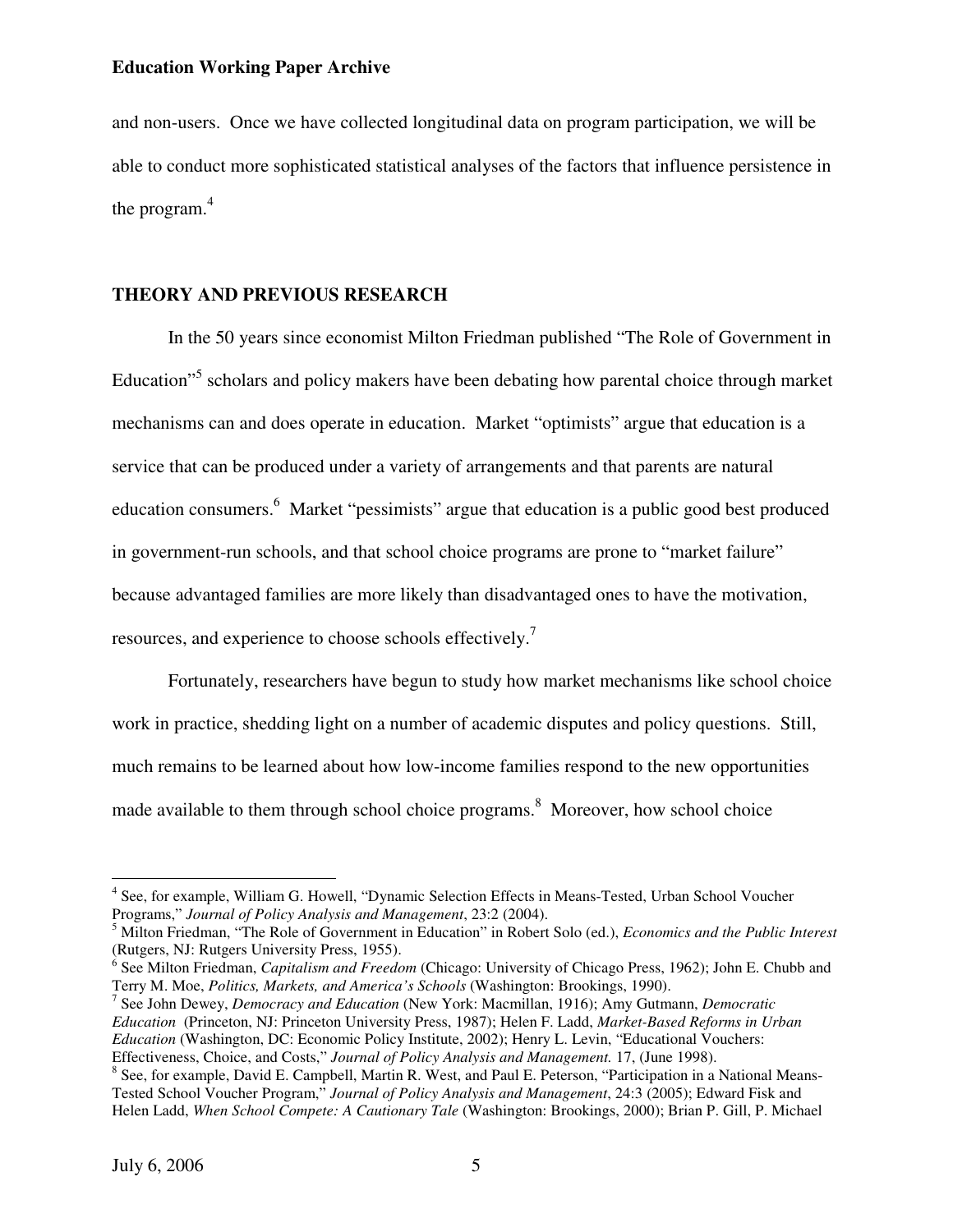and non-users. Once we have collected longitudinal data on program participation, we will be able to conduct more sophisticated statistical analyses of the factors that influence persistence in the program. $4$ 

## **THEORY AND PREVIOUS RESEARCH**

In the 50 years since economist Milton Friedman published "The Role of Government in Education"<sup>5</sup> scholars and policy makers have been debating how parental choice through market mechanisms can and does operate in education. Market "optimists" argue that education is a service that can be produced under a variety of arrangements and that parents are natural education consumers.<sup>6</sup> Market "pessimists" argue that education is a public good best produced in government-run schools, and that school choice programs are prone to "market failure" because advantaged families are more likely than disadvantaged ones to have the motivation, resources, and experience to choose schools effectively.<sup>7</sup>

Fortunately, researchers have begun to study how market mechanisms like school choice work in practice, shedding light on a number of academic disputes and policy questions. Still, much remains to be learned about how low-income families respond to the new opportunities made available to them through school choice programs.<sup>8</sup> Moreover, how school choice

7 See John Dewey, *Democracy and Education* (New York: Macmillan, 1916); Amy Gutmann, *Democratic Education* (Princeton, NJ: Princeton University Press, 1987); Helen F. Ladd, *Market-Based Reforms in Urban Education* (Washington, DC: Economic Policy Institute, 2002); Henry L. Levin, "Educational Vouchers: Effectiveness, Choice, and Costs," *Journal of Policy Analysis and Management.* 17, (June 1998).

<sup>&</sup>lt;sup>4</sup> See, for example, William G. Howell, "Dynamic Selection Effects in Means-Tested, Urban School Voucher Programs," *Journal of Policy Analysis and Management*, 23:2 (2004).

<sup>5</sup> Milton Friedman, "The Role of Government in Education" in Robert Solo (ed.), *Economics and the Public Interest* (Rutgers, NJ: Rutgers University Press, 1955).

<sup>6</sup> See Milton Friedman, *Capitalism and Freedom* (Chicago: University of Chicago Press, 1962); John E. Chubb and Terry M. Moe, *Politics, Markets, and America's Schools* (Washington: Brookings, 1990).

<sup>&</sup>lt;sup>8</sup> See, for example, David E. Campbell, Martin R. West, and Paul E. Peterson, "Participation in a National Means-Tested School Voucher Program," *Journal of Policy Analysis and Management*, 24:3 (2005); Edward Fisk and Helen Ladd, *When School Compete: A Cautionary Tale* (Washington: Brookings, 2000); Brian P. Gill, P. Michael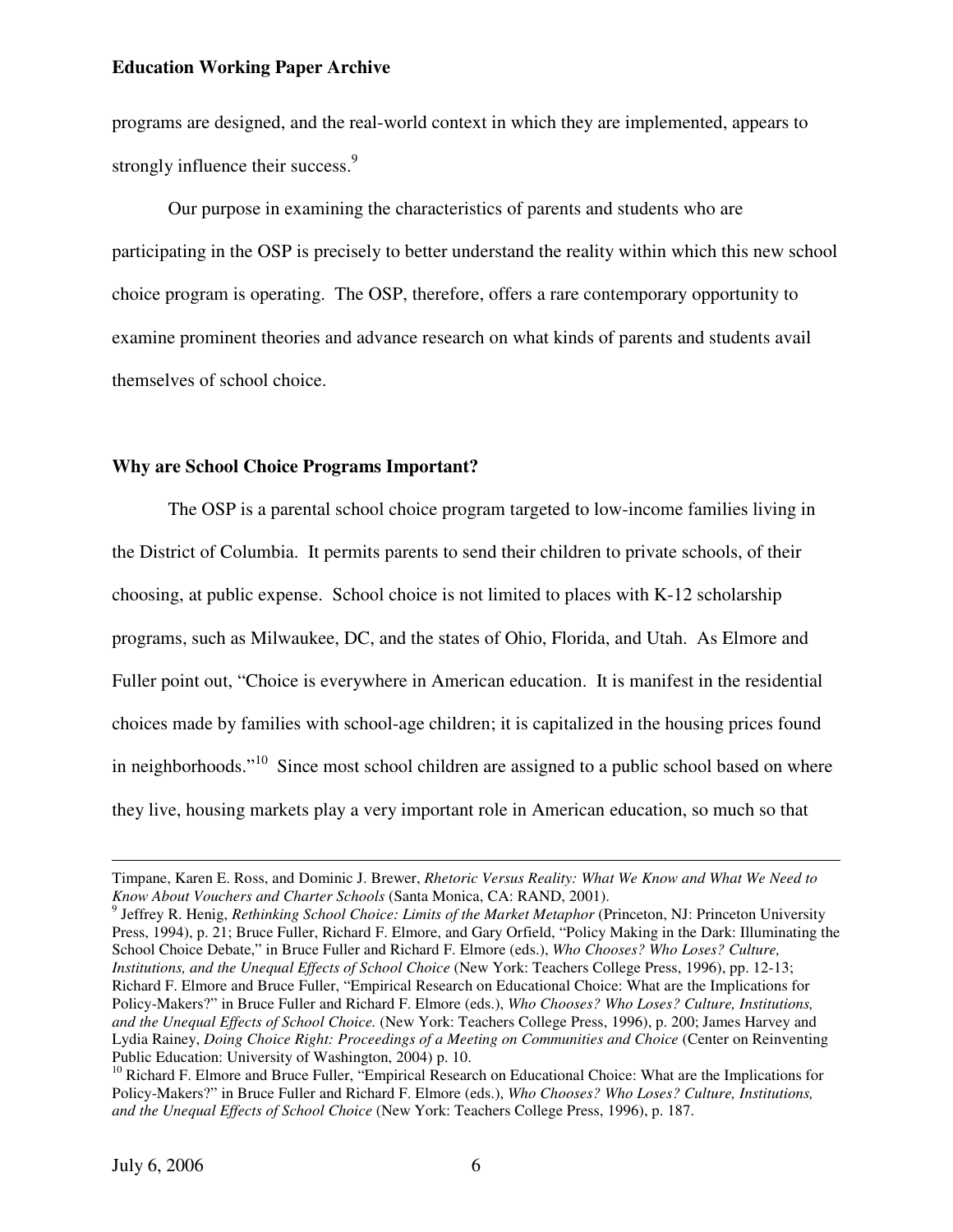programs are designed, and the real-world context in which they are implemented, appears to strongly influence their success.<sup>9</sup>

Our purpose in examining the characteristics of parents and students who are participating in the OSP is precisely to better understand the reality within which this new school choice program is operating. The OSP, therefore, offers a rare contemporary opportunity to examine prominent theories and advance research on what kinds of parents and students avail themselves of school choice.

### **Why are School Choice Programs Important?**

The OSP is a parental school choice program targeted to low-income families living in the District of Columbia. It permits parents to send their children to private schools, of their choosing, at public expense. School choice is not limited to places with K-12 scholarship programs, such as Milwaukee, DC, and the states of Ohio, Florida, and Utah. As Elmore and Fuller point out, "Choice is everywhere in American education. It is manifest in the residential choices made by families with school-age children; it is capitalized in the housing prices found in neighborhoods."<sup>10</sup> Since most school children are assigned to a public school based on where they live, housing markets play a very important role in American education, so much so that

9 Jeffrey R. Henig, *Rethinking School Choice: Limits of the Market Metaphor* (Princeton, NJ: Princeton University Press, 1994), p. 21; Bruce Fuller, Richard F. Elmore, and Gary Orfield, "Policy Making in the Dark: Illuminating the School Choice Debate," in Bruce Fuller and Richard F. Elmore (eds.), *Who Chooses? Who Loses? Culture, Institutions, and the Unequal Effects of School Choice* (New York: Teachers College Press, 1996), pp. 12-13; Richard F. Elmore and Bruce Fuller, "Empirical Research on Educational Choice: What are the Implications for Policy-Makers?" in Bruce Fuller and Richard F. Elmore (eds.), *Who Chooses? Who Loses? Culture, Institutions, and the Unequal Effects of School Choice.* (New York: Teachers College Press, 1996), p. 200; James Harvey and Lydia Rainey, *Doing Choice Right: Proceedings of a Meeting on Communities and Choice* (Center on Reinventing Public Education: University of Washington, 2004) p. 10.

Timpane, Karen E. Ross, and Dominic J. Brewer, *Rhetoric Versus Reality: What We Know and What We Need to Know About Vouchers and Charter Schools* (Santa Monica, CA: RAND, 2001).

<sup>&</sup>lt;sup>10</sup> Richard F. Elmore and Bruce Fuller, "Empirical Research on Educational Choice: What are the Implications for Policy-Makers?" in Bruce Fuller and Richard F. Elmore (eds.), *Who Chooses? Who Loses? Culture, Institutions, and the Unequal Effects of School Choice* (New York: Teachers College Press, 1996), p. 187.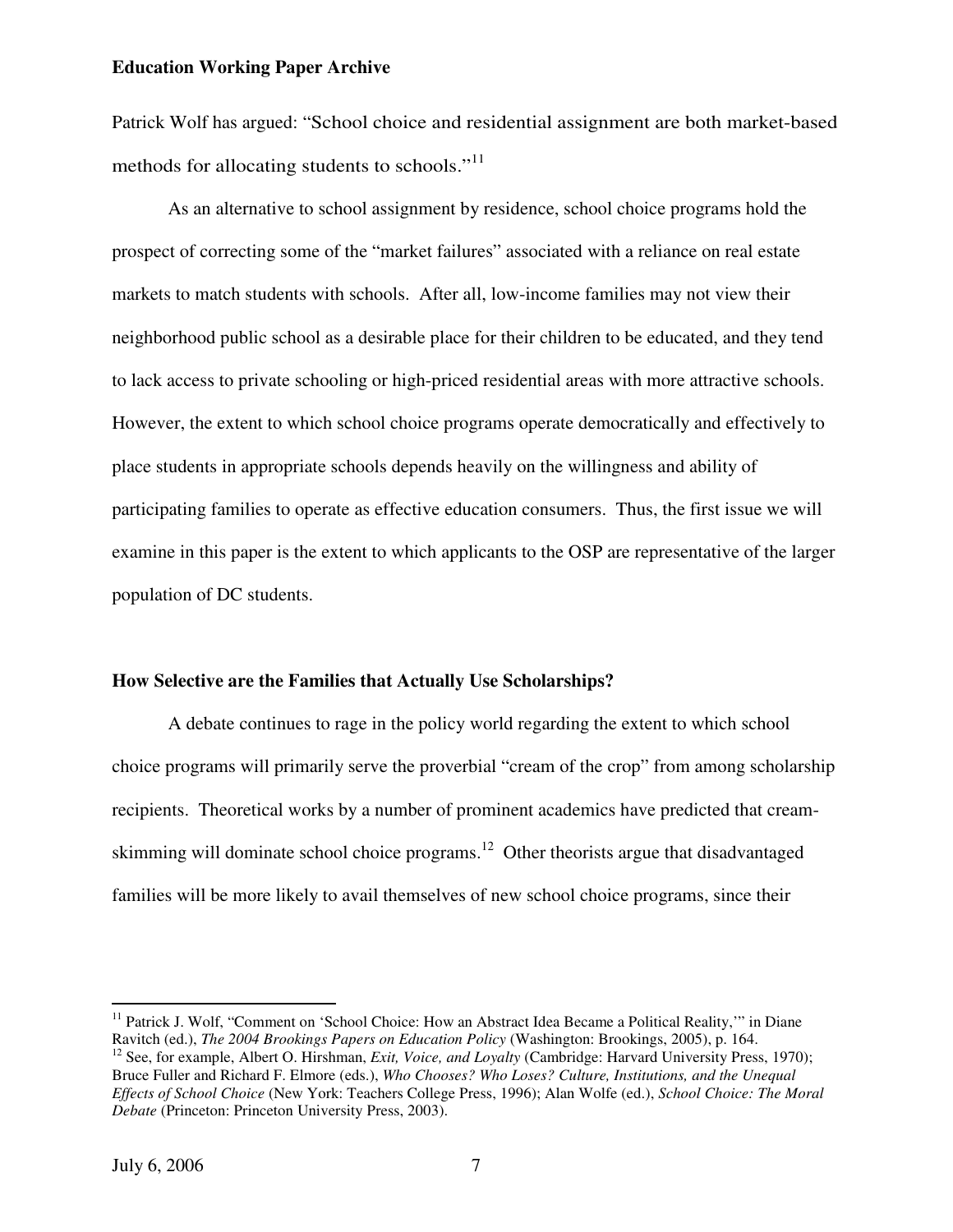Patrick Wolf has argued: "School choice and residential assignment are both market-based methods for allocating students to schools."<sup>11</sup>

As an alternative to school assignment by residence, school choice programs hold the prospect of correcting some of the "market failures" associated with a reliance on real estate markets to match students with schools. After all, low-income families may not view their neighborhood public school as a desirable place for their children to be educated, and they tend to lack access to private schooling or high-priced residential areas with more attractive schools. However, the extent to which school choice programs operate democratically and effectively to place students in appropriate schools depends heavily on the willingness and ability of participating families to operate as effective education consumers. Thus, the first issue we will examine in this paper is the extent to which applicants to the OSP are representative of the larger population of DC students.

### **How Selective are the Families that Actually Use Scholarships?**

 A debate continues to rage in the policy world regarding the extent to which school choice programs will primarily serve the proverbial "cream of the crop" from among scholarship recipients. Theoretical works by a number of prominent academics have predicted that creamskimming will dominate school choice programs.<sup>12</sup> Other theorists argue that disadvantaged families will be more likely to avail themselves of new school choice programs, since their

<sup>&</sup>lt;sup>11</sup> Patrick J. Wolf, "Comment on 'School Choice: How an Abstract Idea Became a Political Reality," in Diane Ravitch (ed.), *The 2004 Brookings Papers on Education Policy* (Washington: Brookings, 2005), p. 164. <sup>12</sup> See, for example, Albert O. Hirshman, *Exit, Voice, and Loyalty* (Cambridge: Harvard University Press, 1970); Bruce Fuller and Richard F. Elmore (eds.), *Who Chooses? Who Loses? Culture, Institutions, and the Unequal Effects of School Choice* (New York: Teachers College Press, 1996); Alan Wolfe (ed.), *School Choice: The Moral Debate* (Princeton: Princeton University Press, 2003).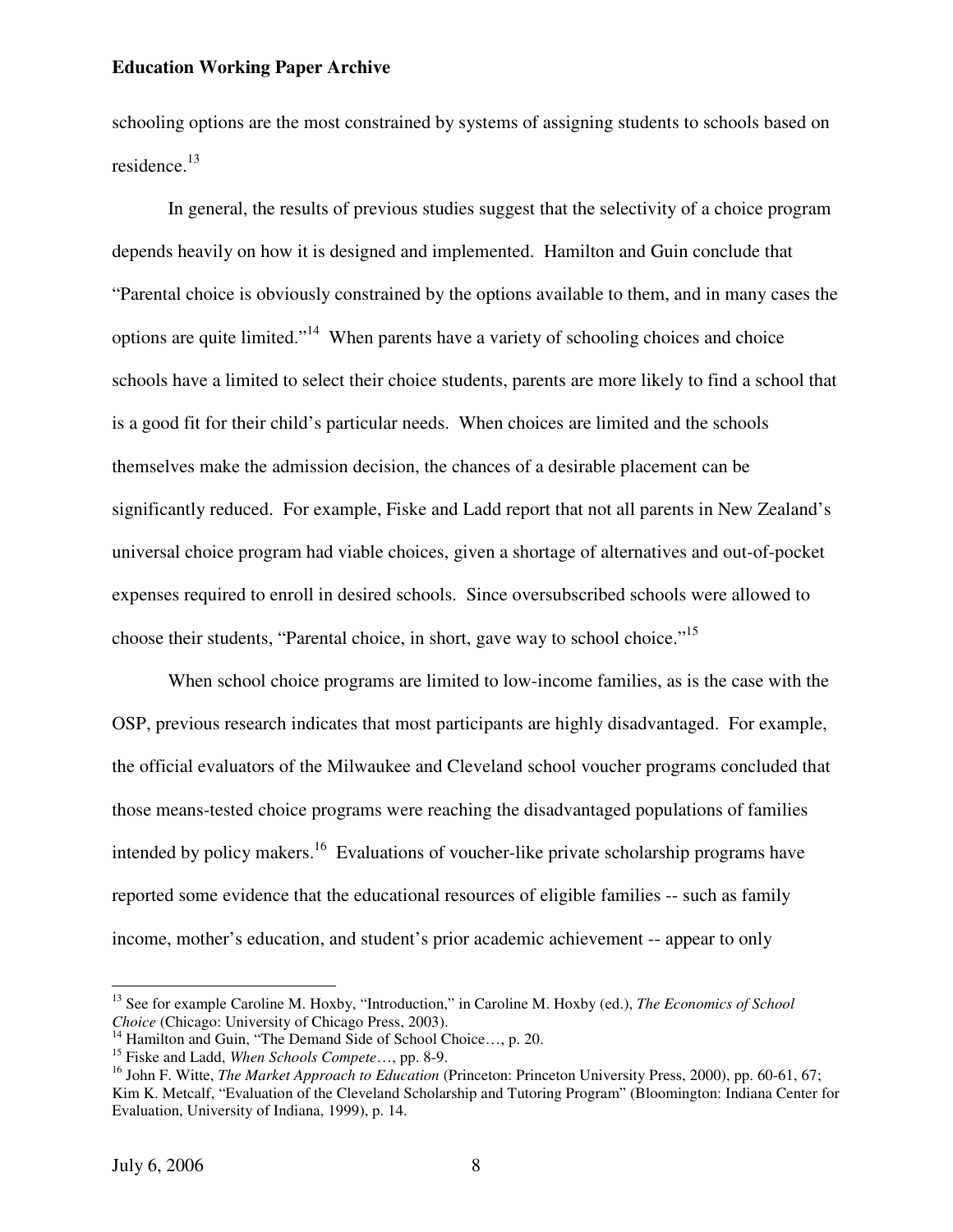schooling options are the most constrained by systems of assigning students to schools based on residence.<sup>13</sup>

In general, the results of previous studies suggest that the selectivity of a choice program depends heavily on how it is designed and implemented. Hamilton and Guin conclude that "Parental choice is obviously constrained by the options available to them, and in many cases the options are quite limited."<sup>14</sup> When parents have a variety of schooling choices and choice schools have a limited to select their choice students, parents are more likely to find a school that is a good fit for their child's particular needs. When choices are limited and the schools themselves make the admission decision, the chances of a desirable placement can be significantly reduced. For example, Fiske and Ladd report that not all parents in New Zealand's universal choice program had viable choices, given a shortage of alternatives and out-of-pocket expenses required to enroll in desired schools. Since oversubscribed schools were allowed to choose their students, "Parental choice, in short, gave way to school choice."<sup>15</sup>

When school choice programs are limited to low-income families, as is the case with the OSP, previous research indicates that most participants are highly disadvantaged. For example, the official evaluators of the Milwaukee and Cleveland school voucher programs concluded that those means-tested choice programs were reaching the disadvantaged populations of families intended by policy makers.<sup>16</sup> Evaluations of voucher-like private scholarship programs have reported some evidence that the educational resources of eligible families -- such as family income, mother's education, and student's prior academic achievement -- appear to only

<sup>13</sup> See for example Caroline M. Hoxby, "Introduction," in Caroline M. Hoxby (ed.), *The Economics of School Choice* (Chicago: University of Chicago Press, 2003).

<sup>&</sup>lt;sup>14</sup> Hamilton and Guin, "The Demand Side of School Choice..., p. 20.

<sup>15</sup> Fiske and Ladd, *When Schools Compete*…, pp. 8-9.

<sup>16</sup> John F. Witte, *The Market Approach to Education* (Princeton: Princeton University Press, 2000), pp. 60-61, 67; Kim K. Metcalf, "Evaluation of the Cleveland Scholarship and Tutoring Program" (Bloomington: Indiana Center for Evaluation, University of Indiana, 1999), p. 14.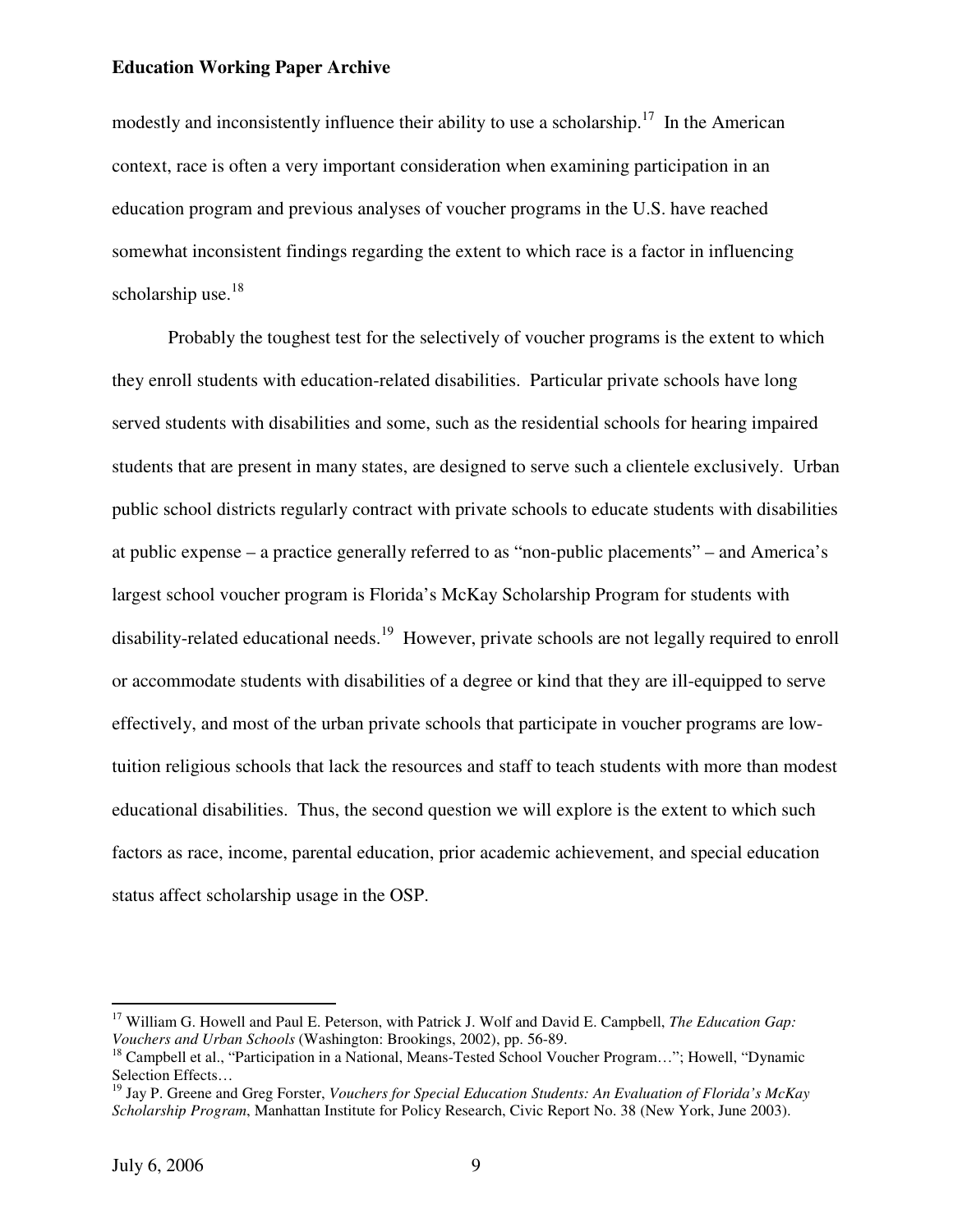modestly and inconsistently influence their ability to use a scholarship.<sup>17</sup> In the American context, race is often a very important consideration when examining participation in an education program and previous analyses of voucher programs in the U.S. have reached somewhat inconsistent findings regarding the extent to which race is a factor in influencing scholarship use. $18$ 

Probably the toughest test for the selectively of voucher programs is the extent to which they enroll students with education-related disabilities. Particular private schools have long served students with disabilities and some, such as the residential schools for hearing impaired students that are present in many states, are designed to serve such a clientele exclusively. Urban public school districts regularly contract with private schools to educate students with disabilities at public expense – a practice generally referred to as "non-public placements" – and America's largest school voucher program is Florida's McKay Scholarship Program for students with disability-related educational needs.<sup>19</sup> However, private schools are not legally required to enroll or accommodate students with disabilities of a degree or kind that they are ill-equipped to serve effectively, and most of the urban private schools that participate in voucher programs are lowtuition religious schools that lack the resources and staff to teach students with more than modest educational disabilities. Thus, the second question we will explore is the extent to which such factors as race, income, parental education, prior academic achievement, and special education status affect scholarship usage in the OSP.

<sup>&</sup>lt;sup>17</sup> William G. Howell and Paul E. Peterson, with Patrick J. Wolf and David E. Campbell, *The Education Gap*: *Vouchers and Urban Schools* (Washington: Brookings, 2002), pp. 56-89.

<sup>&</sup>lt;sup>18</sup> Campbell et al., "Participation in a National, Means-Tested School Voucher Program..."; Howell, "Dynamic Selection Effects…

<sup>19</sup> Jay P. Greene and Greg Forster, *Vouchers for Special Education Students: An Evaluation of Florida's McKay Scholarship Program*, Manhattan Institute for Policy Research, Civic Report No. 38 (New York, June 2003).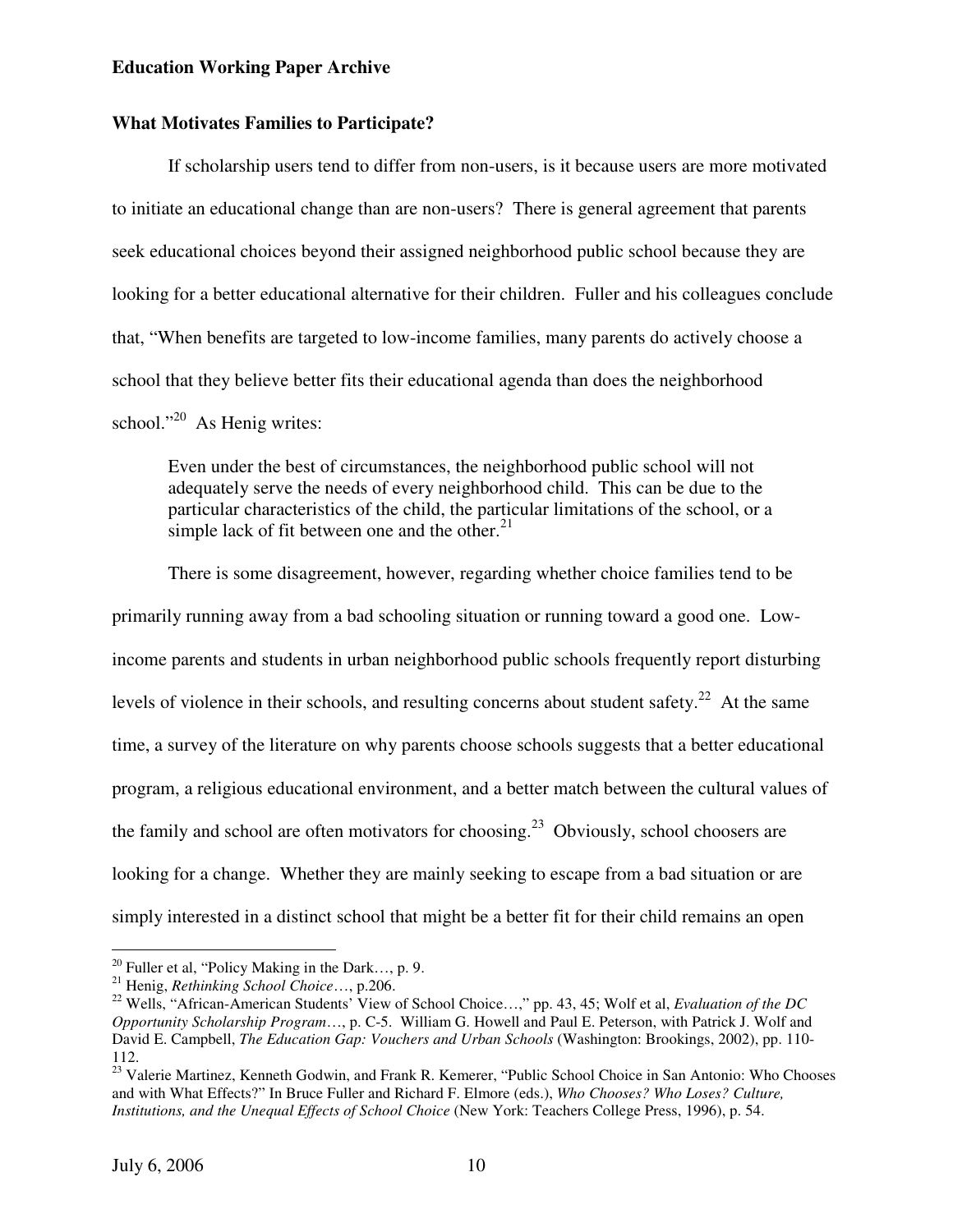## **What Motivates Families to Participate?**

If scholarship users tend to differ from non-users, is it because users are more motivated to initiate an educational change than are non-users? There is general agreement that parents seek educational choices beyond their assigned neighborhood public school because they are looking for a better educational alternative for their children. Fuller and his colleagues conclude that, "When benefits are targeted to low-income families, many parents do actively choose a school that they believe better fits their educational agenda than does the neighborhood school."<sup>20</sup> As Henig writes:

Even under the best of circumstances, the neighborhood public school will not adequately serve the needs of every neighborhood child. This can be due to the particular characteristics of the child, the particular limitations of the school, or a simple lack of fit between one and the other. $21$ 

There is some disagreement, however, regarding whether choice families tend to be primarily running away from a bad schooling situation or running toward a good one. Lowincome parents and students in urban neighborhood public schools frequently report disturbing levels of violence in their schools, and resulting concerns about student safety.<sup>22</sup> At the same time, a survey of the literature on why parents choose schools suggests that a better educational program, a religious educational environment, and a better match between the cultural values of the family and school are often motivators for choosing.<sup>23</sup> Obviously, school choosers are looking for a change. Whether they are mainly seeking to escape from a bad situation or are simply interested in a distinct school that might be a better fit for their child remains an open

 $^{20}$  Fuller et al, "Policy Making in the Dark..., p. 9.

<sup>21</sup> Henig, *Rethinking School Choice*…, p.206.

<sup>22</sup> Wells, "African-American Students' View of School Choice…," pp. 43, 45; Wolf et al, *Evaluation of the DC Opportunity Scholarship Program*…, p. C-5. William G. Howell and Paul E. Peterson, with Patrick J. Wolf and David E. Campbell, *The Education Gap: Vouchers and Urban Schools* (Washington: Brookings, 2002), pp. 110- 112.

<sup>&</sup>lt;sup>23</sup> Valerie Martinez, Kenneth Godwin, and Frank R. Kemerer, "Public School Choice in San Antonio: Who Chooses and with What Effects?" In Bruce Fuller and Richard F. Elmore (eds.), *Who Chooses? Who Loses? Culture, Institutions, and the Unequal Effects of School Choice* (New York: Teachers College Press, 1996), p. 54.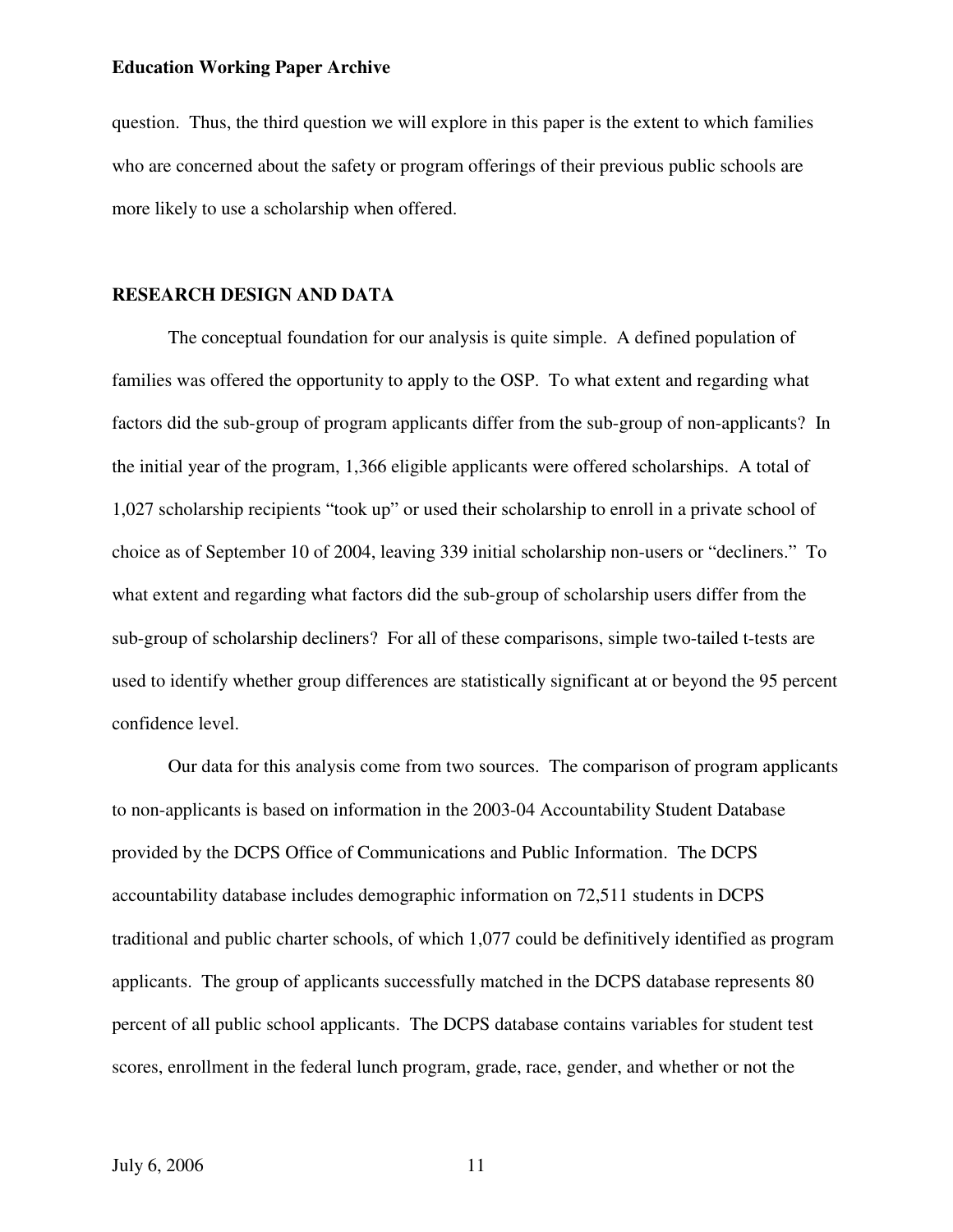question. Thus, the third question we will explore in this paper is the extent to which families who are concerned about the safety or program offerings of their previous public schools are more likely to use a scholarship when offered.

## **RESEARCH DESIGN AND DATA**

The conceptual foundation for our analysis is quite simple. A defined population of families was offered the opportunity to apply to the OSP. To what extent and regarding what factors did the sub-group of program applicants differ from the sub-group of non-applicants? In the initial year of the program, 1,366 eligible applicants were offered scholarships. A total of 1,027 scholarship recipients "took up" or used their scholarship to enroll in a private school of choice as of September 10 of 2004, leaving 339 initial scholarship non-users or "decliners." To what extent and regarding what factors did the sub-group of scholarship users differ from the sub-group of scholarship decliners? For all of these comparisons, simple two-tailed t-tests are used to identify whether group differences are statistically significant at or beyond the 95 percent confidence level.

 Our data for this analysis come from two sources. The comparison of program applicants to non-applicants is based on information in the 2003-04 Accountability Student Database provided by the DCPS Office of Communications and Public Information. The DCPS accountability database includes demographic information on 72,511 students in DCPS traditional and public charter schools, of which 1,077 could be definitively identified as program applicants. The group of applicants successfully matched in the DCPS database represents 80 percent of all public school applicants. The DCPS database contains variables for student test scores, enrollment in the federal lunch program, grade, race, gender, and whether or not the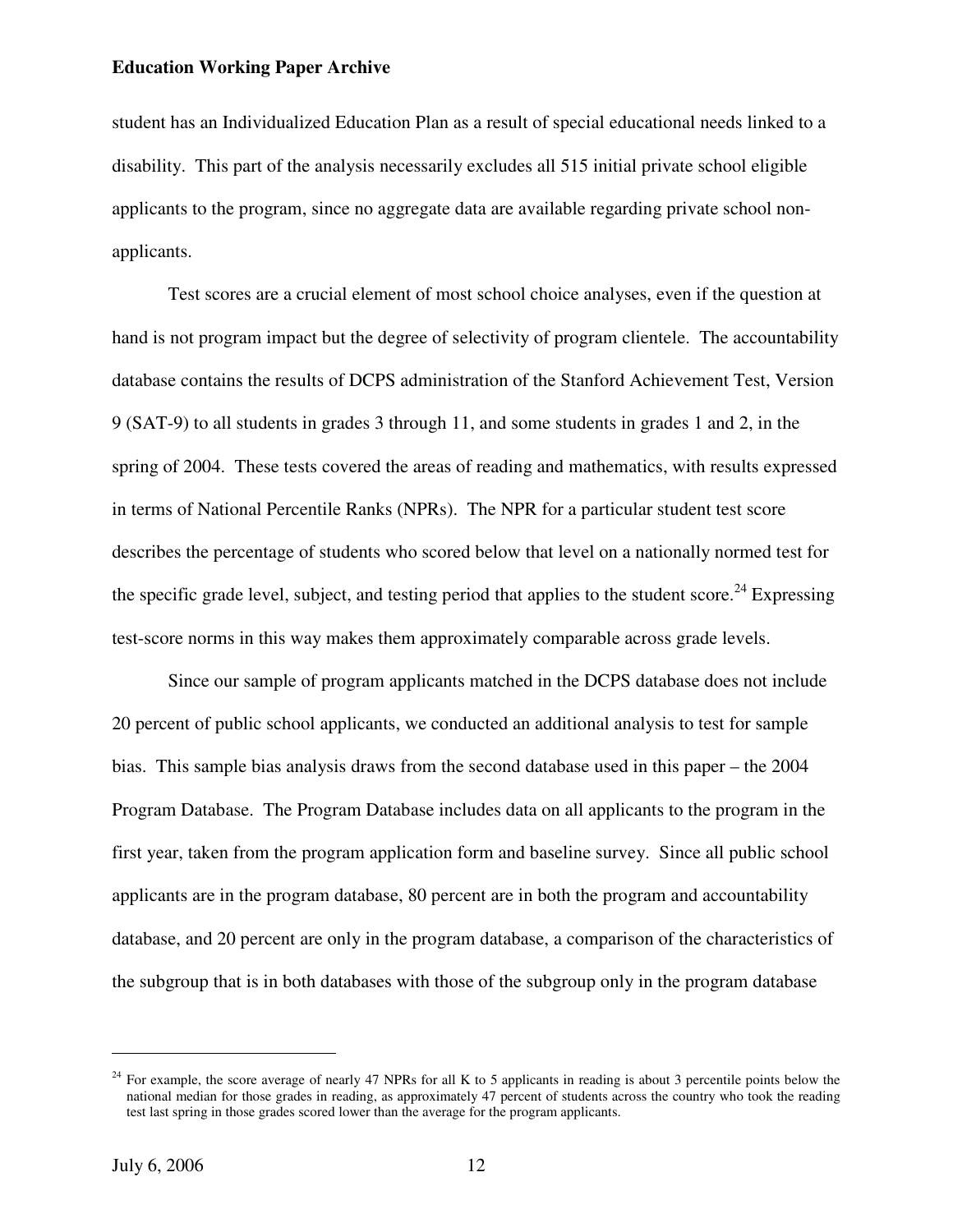student has an Individualized Education Plan as a result of special educational needs linked to a disability. This part of the analysis necessarily excludes all 515 initial private school eligible applicants to the program, since no aggregate data are available regarding private school nonapplicants.

 Test scores are a crucial element of most school choice analyses, even if the question at hand is not program impact but the degree of selectivity of program clientele. The accountability database contains the results of DCPS administration of the Stanford Achievement Test, Version 9 (SAT-9) to all students in grades 3 through 11, and some students in grades 1 and 2, in the spring of 2004. These tests covered the areas of reading and mathematics, with results expressed in terms of National Percentile Ranks (NPRs). The NPR for a particular student test score describes the percentage of students who scored below that level on a nationally normed test for the specific grade level, subject, and testing period that applies to the student score.<sup>24</sup> Expressing test-score norms in this way makes them approximately comparable across grade levels.

 Since our sample of program applicants matched in the DCPS database does not include 20 percent of public school applicants, we conducted an additional analysis to test for sample bias. This sample bias analysis draws from the second database used in this paper – the 2004 Program Database. The Program Database includes data on all applicants to the program in the first year, taken from the program application form and baseline survey. Since all public school applicants are in the program database, 80 percent are in both the program and accountability database, and 20 percent are only in the program database, a comparison of the characteristics of the subgroup that is in both databases with those of the subgroup only in the program database

<sup>&</sup>lt;sup>24</sup> For example, the score average of nearly 47 NPRs for all K to 5 applicants in reading is about 3 percentile points below the national median for those grades in reading, as approximately 47 percent of students across the country who took the reading test last spring in those grades scored lower than the average for the program applicants.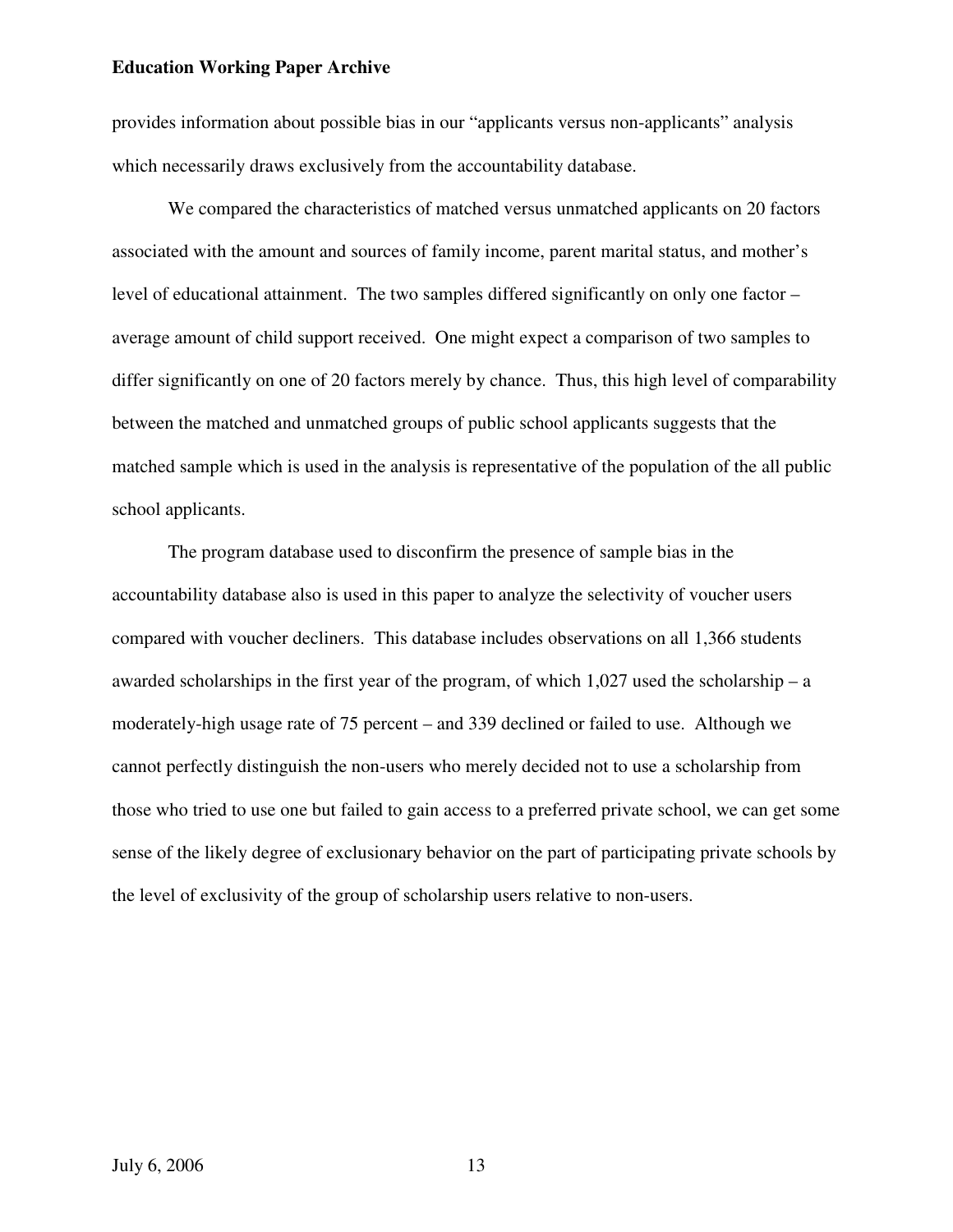provides information about possible bias in our "applicants versus non-applicants" analysis which necessarily draws exclusively from the accountability database.

 We compared the characteristics of matched versus unmatched applicants on 20 factors associated with the amount and sources of family income, parent marital status, and mother's level of educational attainment. The two samples differed significantly on only one factor – average amount of child support received. One might expect a comparison of two samples to differ significantly on one of 20 factors merely by chance. Thus, this high level of comparability between the matched and unmatched groups of public school applicants suggests that the matched sample which is used in the analysis is representative of the population of the all public school applicants.

 The program database used to disconfirm the presence of sample bias in the accountability database also is used in this paper to analyze the selectivity of voucher users compared with voucher decliners. This database includes observations on all 1,366 students awarded scholarships in the first year of the program, of which 1,027 used the scholarship – a moderately-high usage rate of 75 percent – and 339 declined or failed to use. Although we cannot perfectly distinguish the non-users who merely decided not to use a scholarship from those who tried to use one but failed to gain access to a preferred private school, we can get some sense of the likely degree of exclusionary behavior on the part of participating private schools by the level of exclusivity of the group of scholarship users relative to non-users.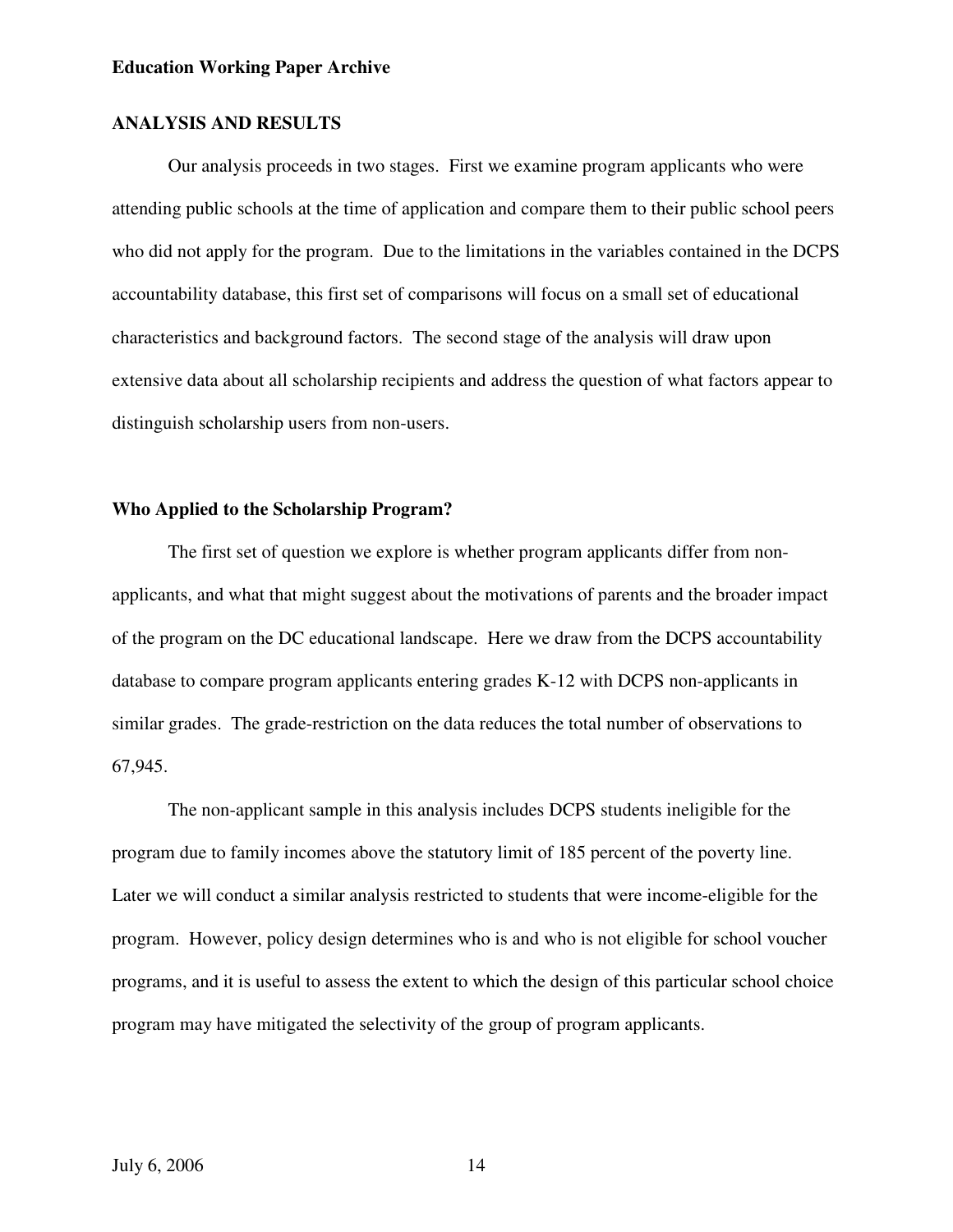## **ANALYSIS AND RESULTS**

 Our analysis proceeds in two stages. First we examine program applicants who were attending public schools at the time of application and compare them to their public school peers who did not apply for the program. Due to the limitations in the variables contained in the DCPS accountability database, this first set of comparisons will focus on a small set of educational characteristics and background factors. The second stage of the analysis will draw upon extensive data about all scholarship recipients and address the question of what factors appear to distinguish scholarship users from non-users.

## **Who Applied to the Scholarship Program?**

 The first set of question we explore is whether program applicants differ from nonapplicants, and what that might suggest about the motivations of parents and the broader impact of the program on the DC educational landscape. Here we draw from the DCPS accountability database to compare program applicants entering grades K-12 with DCPS non-applicants in similar grades. The grade-restriction on the data reduces the total number of observations to 67,945.

 The non-applicant sample in this analysis includes DCPS students ineligible for the program due to family incomes above the statutory limit of 185 percent of the poverty line. Later we will conduct a similar analysis restricted to students that were income-eligible for the program. However, policy design determines who is and who is not eligible for school voucher programs, and it is useful to assess the extent to which the design of this particular school choice program may have mitigated the selectivity of the group of program applicants.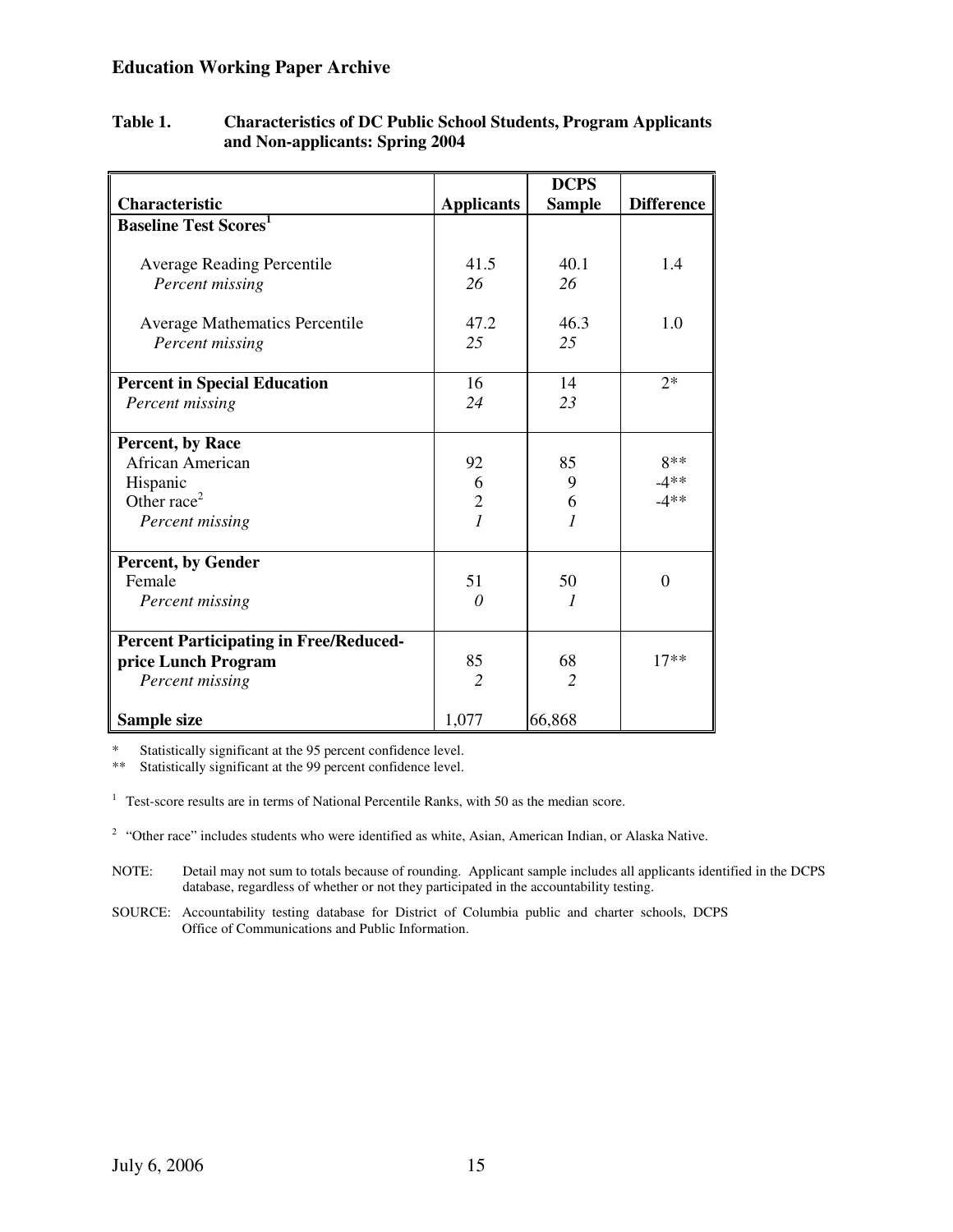|                                               |                   | <b>DCPS</b>   |                   |
|-----------------------------------------------|-------------------|---------------|-------------------|
| <b>Characteristic</b>                         | <b>Applicants</b> | <b>Sample</b> | <b>Difference</b> |
| <b>Baseline Test Scores</b>                   |                   |               |                   |
|                                               |                   |               |                   |
| <b>Average Reading Percentile</b>             | 41.5              | 40.1          | 1.4               |
| Percent missing                               | 26                | 26            |                   |
| <b>Average Mathematics Percentile</b>         | 47.2              | 46.3          | 1.0               |
| Percent missing                               | 25                | 25            |                   |
|                                               |                   |               |                   |
| <b>Percent in Special Education</b>           | 16                | 14            | $2*$              |
| Percent missing                               | 24                | 23            |                   |
| Percent, by Race                              |                   |               |                   |
| African American                              | 92                | 85            | 8**               |
| Hispanic                                      | 6                 | 9             | $-4**$            |
| Other race <sup>2</sup>                       | $\overline{c}$    | 6             | $-4**$            |
| Percent missing                               | $\overline{1}$    | 1             |                   |
| <b>Percent, by Gender</b>                     |                   |               |                   |
| Female                                        | 51                | 50            | $\Omega$          |
| Percent missing                               | 0                 |               |                   |
|                                               |                   |               |                   |
| <b>Percent Participating in Free/Reduced-</b> |                   |               |                   |
| price Lunch Program                           | 85                | 68            | $17**$            |
| Percent missing                               | $\overline{c}$    | 2             |                   |
| Sample size                                   | 1,077             | 66,868        |                   |

## **Table 1. Characteristics of DC Public School Students, Program Applicants and Non-applicants: Spring 2004**

\* Statistically significant at the 95 percent confidence level.

Statistically significant at the 99 percent confidence level.

<sup>1</sup> Test-score results are in terms of National Percentile Ranks, with 50 as the median score.

 $2$  "Other race" includes students who were identified as white, Asian, American Indian, or Alaska Native.

- NOTE: Detail may not sum to totals because of rounding. Applicant sample includes all applicants identified in the DCPS database, regardless of whether or not they participated in the accountability testing.
- SOURCE: Accountability testing database for District of Columbia public and charter schools, DCPS Office of Communications and Public Information.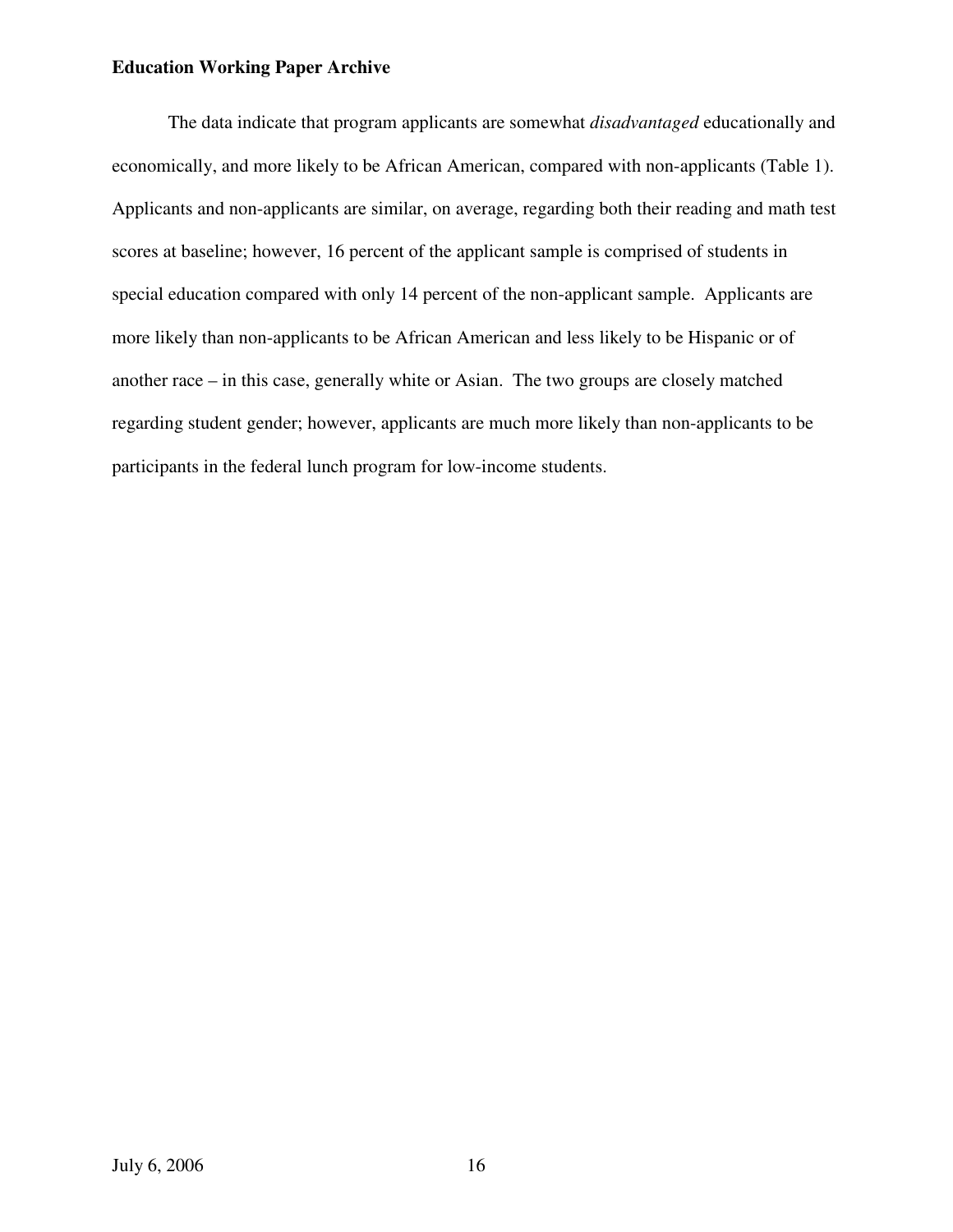The data indicate that program applicants are somewhat *disadvantaged* educationally and economically, and more likely to be African American, compared with non-applicants (Table 1). Applicants and non-applicants are similar, on average, regarding both their reading and math test scores at baseline; however, 16 percent of the applicant sample is comprised of students in special education compared with only 14 percent of the non-applicant sample. Applicants are more likely than non-applicants to be African American and less likely to be Hispanic or of another race – in this case, generally white or Asian. The two groups are closely matched regarding student gender; however, applicants are much more likely than non-applicants to be participants in the federal lunch program for low-income students.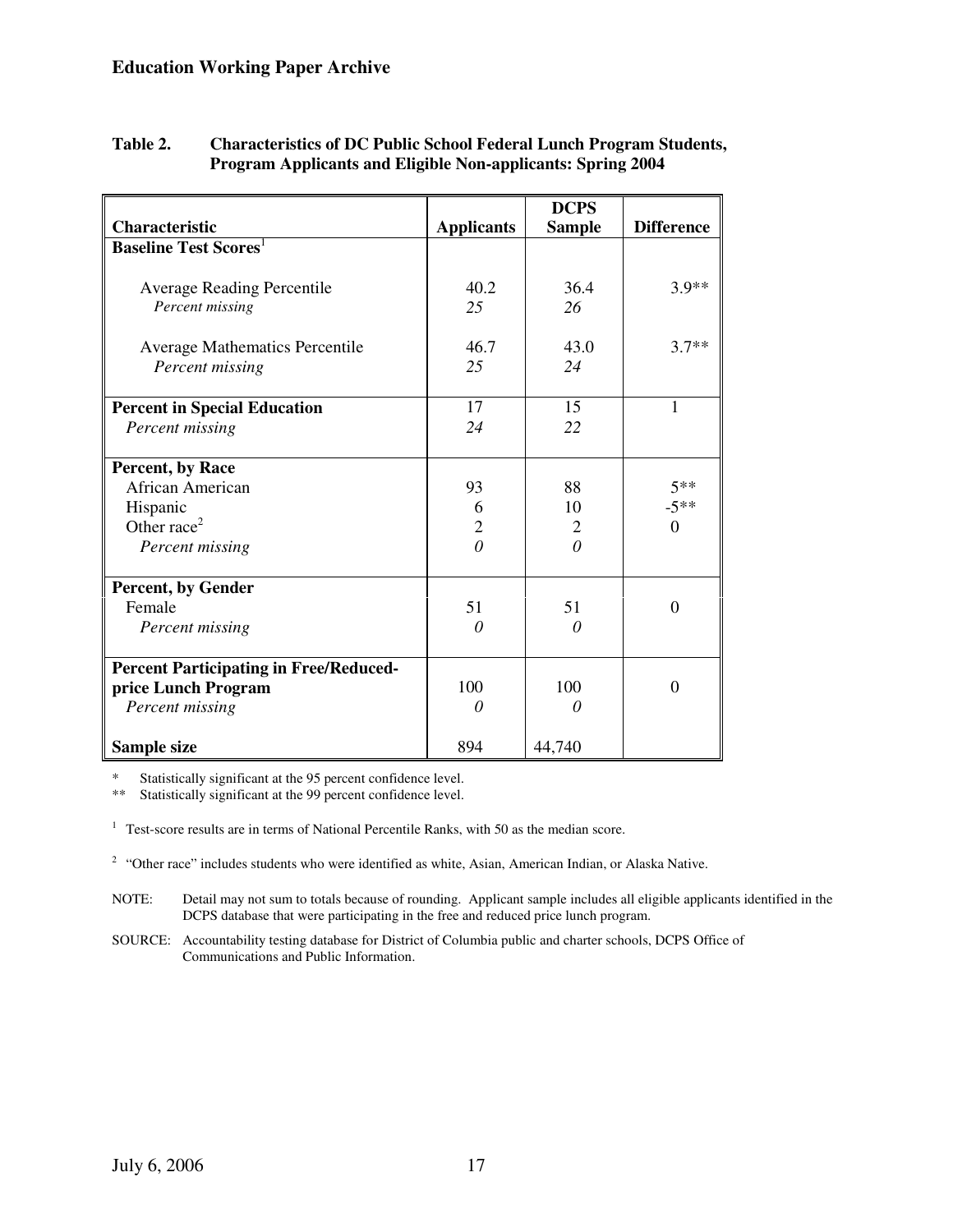|                                               |                   | <b>DCPS</b>   |                   |
|-----------------------------------------------|-------------------|---------------|-------------------|
| <b>Characteristic</b>                         | <b>Applicants</b> | <b>Sample</b> | <b>Difference</b> |
| <b>Baseline Test Scores</b>                   |                   |               |                   |
|                                               |                   |               |                   |
| <b>Average Reading Percentile</b>             | 40.2              | 36.4          | $3.9**$           |
| Percent missing                               | 25                | 26            |                   |
|                                               |                   |               |                   |
| <b>Average Mathematics Percentile</b>         | 46.7              | 43.0          | $3.7**$           |
| Percent missing                               | 25                | 24            |                   |
| <b>Percent in Special Education</b>           | 17                | 15            | $\mathbf{1}$      |
| Percent missing                               | 24                | 22            |                   |
|                                               |                   |               |                   |
| Percent, by Race                              |                   |               |                   |
| African American                              | 93                | 88            | $5**$             |
| Hispanic                                      | 6                 | 10            | $-5**$            |
| Other race <sup>2</sup>                       | $\overline{2}$    | 2             | $\Omega$          |
| Percent missing                               | $\theta$          | $\theta$      |                   |
|                                               |                   |               |                   |
| <b>Percent, by Gender</b><br>Female           | 51                | 51            | $\Omega$          |
|                                               | 0                 | 0             |                   |
| Percent missing                               |                   |               |                   |
| <b>Percent Participating in Free/Reduced-</b> |                   |               |                   |
| price Lunch Program                           | 100               | 100           | $\Omega$          |
| Percent missing                               | 0                 | 0             |                   |
| Sample size                                   | 894               | 44,740        |                   |

## **Table 2. Characteristics of DC Public School Federal Lunch Program Students, Program Applicants and Eligible Non-applicants: Spring 2004**

\* Statistically significant at the 95 percent confidence level.

Statistically significant at the 99 percent confidence level.

<sup>1</sup> Test-score results are in terms of National Percentile Ranks, with 50 as the median score.

 $2$  "Other race" includes students who were identified as white, Asian, American Indian, or Alaska Native.

NOTE: Detail may not sum to totals because of rounding. Applicant sample includes all eligible applicants identified in the DCPS database that were participating in the free and reduced price lunch program.

SOURCE: Accountability testing database for District of Columbia public and charter schools, DCPS Office of Communications and Public Information.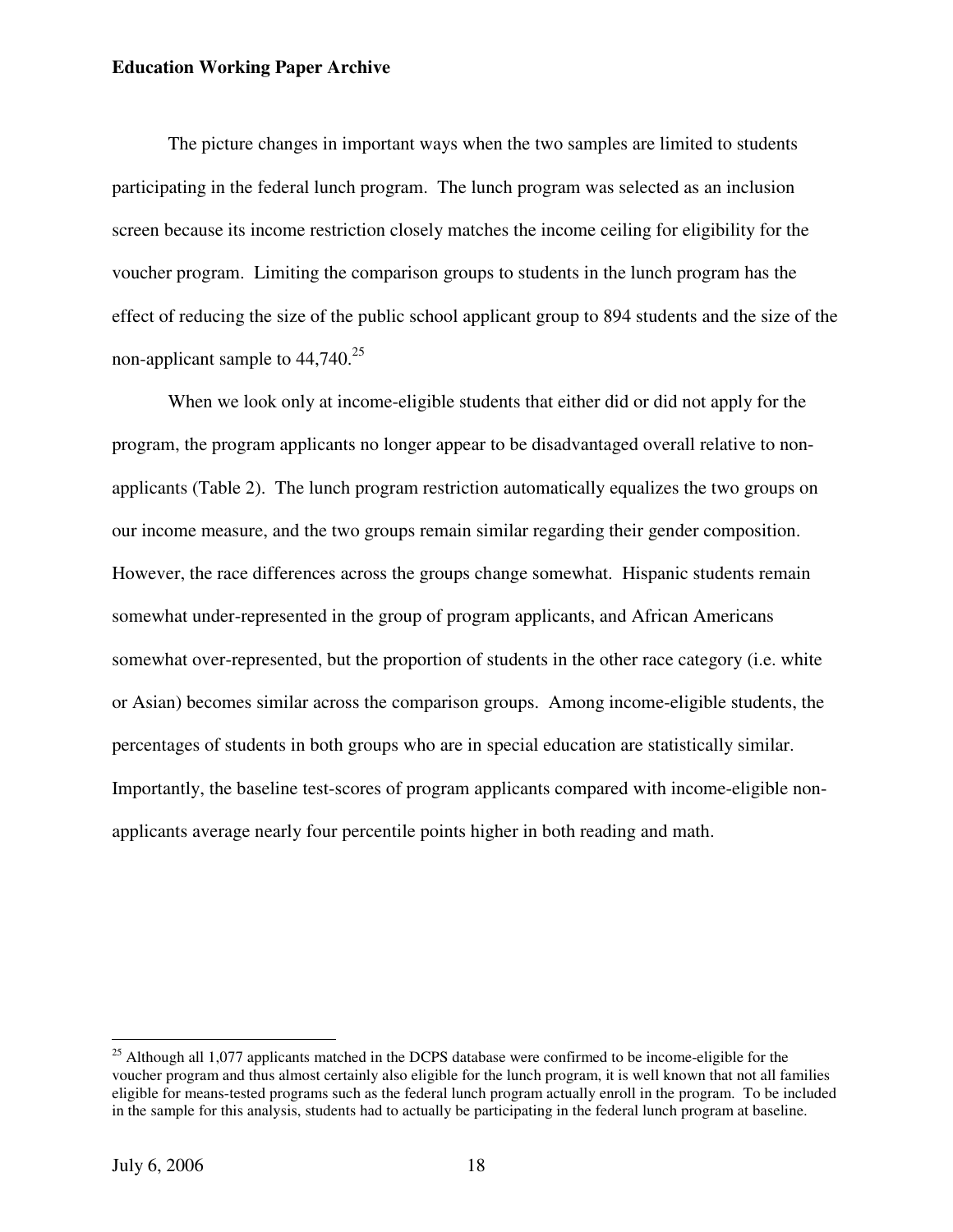The picture changes in important ways when the two samples are limited to students participating in the federal lunch program. The lunch program was selected as an inclusion screen because its income restriction closely matches the income ceiling for eligibility for the voucher program. Limiting the comparison groups to students in the lunch program has the effect of reducing the size of the public school applicant group to 894 students and the size of the non-applicant sample to  $44,740.^{25}$ 

When we look only at income-eligible students that either did or did not apply for the program, the program applicants no longer appear to be disadvantaged overall relative to nonapplicants (Table 2). The lunch program restriction automatically equalizes the two groups on our income measure, and the two groups remain similar regarding their gender composition. However, the race differences across the groups change somewhat. Hispanic students remain somewhat under-represented in the group of program applicants, and African Americans somewhat over-represented, but the proportion of students in the other race category (i.e. white or Asian) becomes similar across the comparison groups. Among income-eligible students, the percentages of students in both groups who are in special education are statistically similar. Importantly, the baseline test-scores of program applicants compared with income-eligible nonapplicants average nearly four percentile points higher in both reading and math.

 $^{25}$  Although all 1,077 applicants matched in the DCPS database were confirmed to be income-eligible for the voucher program and thus almost certainly also eligible for the lunch program, it is well known that not all families eligible for means-tested programs such as the federal lunch program actually enroll in the program. To be included in the sample for this analysis, students had to actually be participating in the federal lunch program at baseline.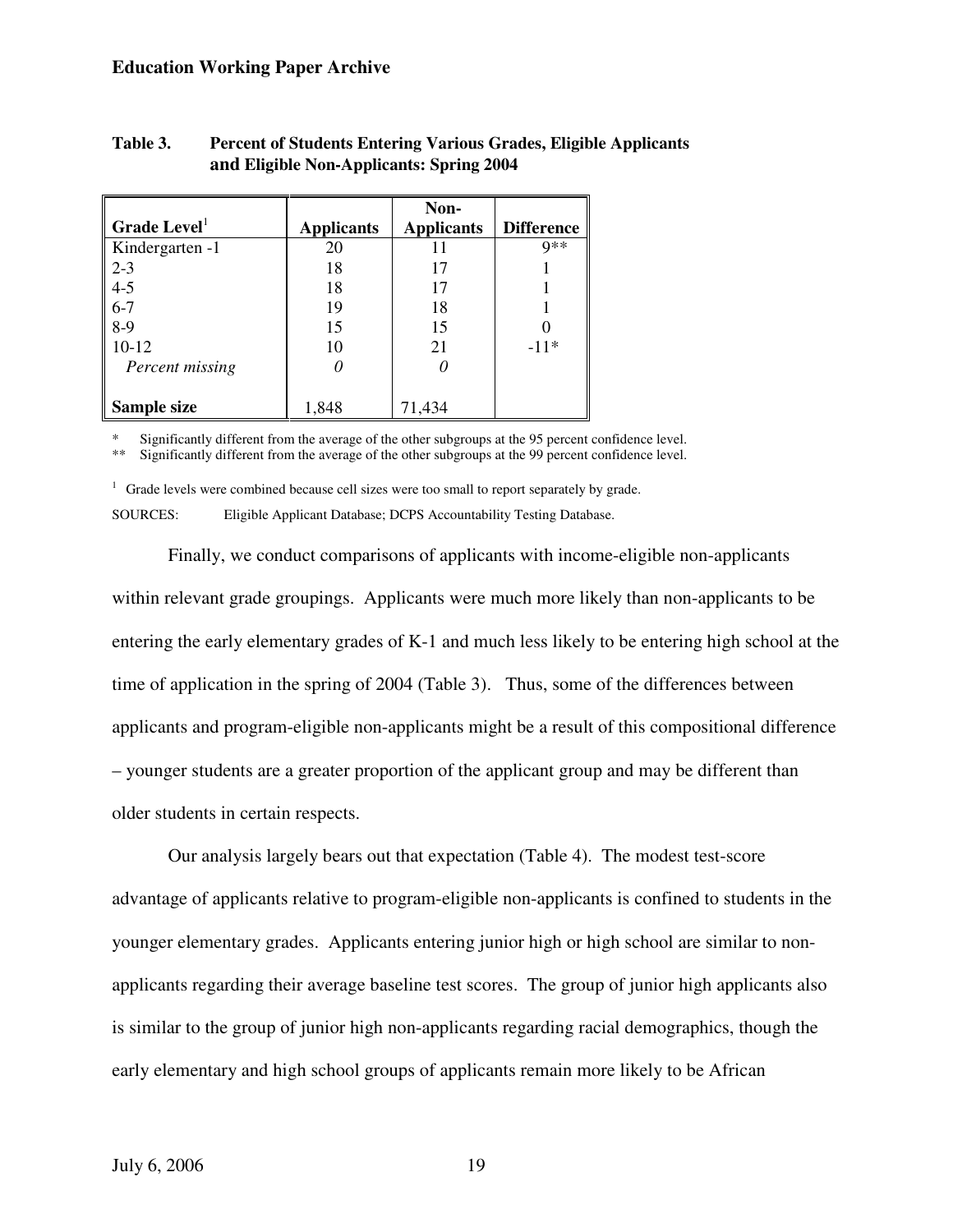|                                      |                   | Non-              |                   |
|--------------------------------------|-------------------|-------------------|-------------------|
| $\parallel$ Grade Level <sup>1</sup> | <b>Applicants</b> | <b>Applicants</b> | <b>Difference</b> |
| Kindergarten -1                      | 20                |                   | $Q**$             |
| $\sqrt{2-3}$                         | 18                |                   |                   |
| $4-5$                                | 18                | 17                |                   |
| $6 - 7$                              | 19                | 18                |                   |
| $8-9$                                | 15                | 15                |                   |
| $10-12$                              | 10                | 21                | $-11*$            |
| Percent missing                      |                   |                   |                   |
|                                      |                   |                   |                   |
| Sample size                          | 1,848             | 71,434            |                   |

## **Table 3. Percent of Students Entering Various Grades, Eligible Applicants and Eligible Non-Applicants: Spring 2004**

Significantly different from the average of the other subgroups at the 95 percent confidence level.

\*\* Significantly different from the average of the other subgroups at the 99 percent confidence level.

 $1$  Grade levels were combined because cell sizes were too small to report separately by grade. SOURCES: Eligible Applicant Database; DCPS Accountability Testing Database.

 Finally, we conduct comparisons of applicants with income-eligible non-applicants within relevant grade groupings. Applicants were much more likely than non-applicants to be entering the early elementary grades of K-1 and much less likely to be entering high school at the time of application in the spring of 2004 (Table 3). Thus, some of the differences between applicants and program-eligible non-applicants might be a result of this compositional difference – younger students are a greater proportion of the applicant group and may be different than older students in certain respects.

 Our analysis largely bears out that expectation (Table 4). The modest test-score advantage of applicants relative to program-eligible non-applicants is confined to students in the younger elementary grades. Applicants entering junior high or high school are similar to nonapplicants regarding their average baseline test scores. The group of junior high applicants also is similar to the group of junior high non-applicants regarding racial demographics, though the early elementary and high school groups of applicants remain more likely to be African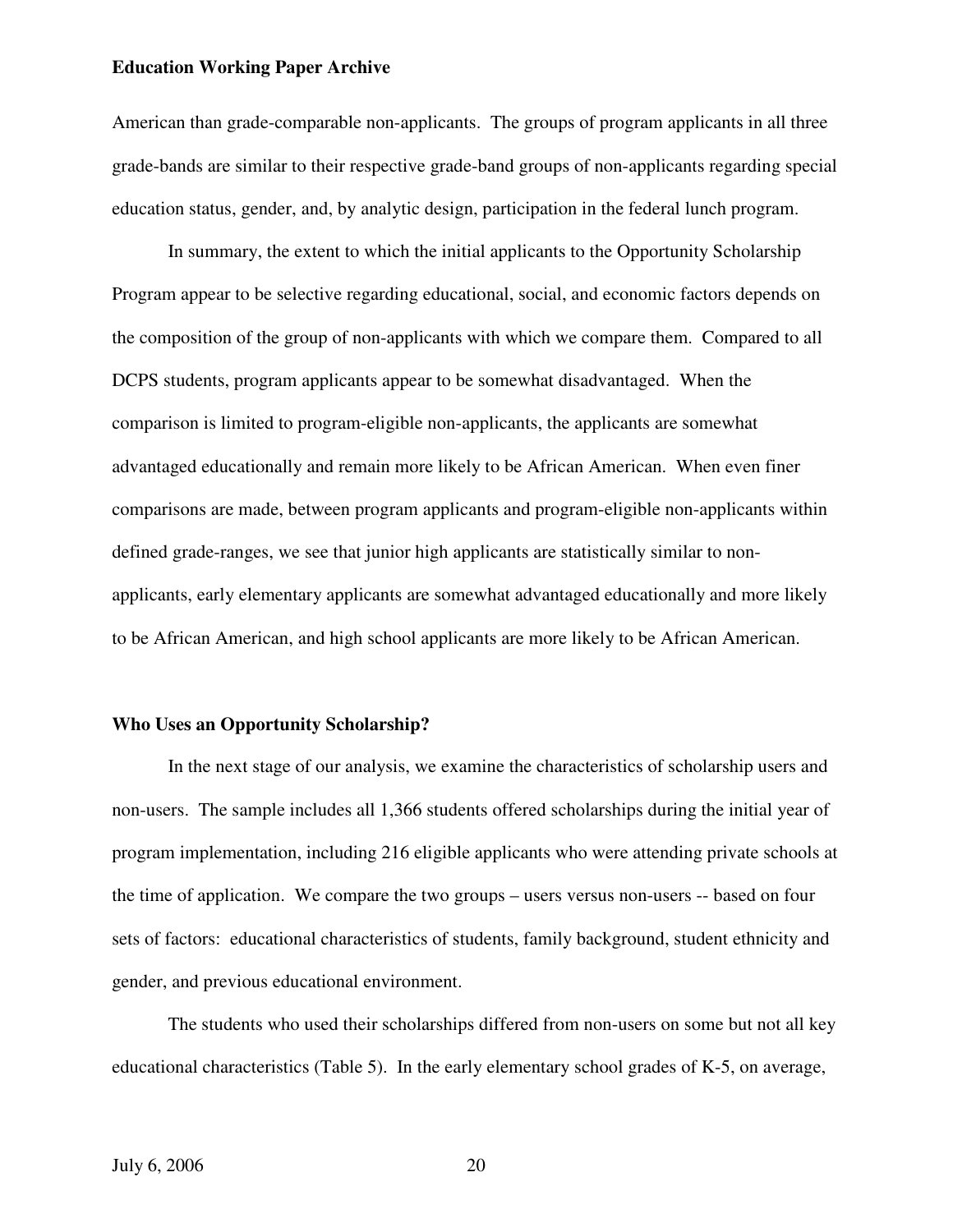American than grade-comparable non-applicants. The groups of program applicants in all three grade-bands are similar to their respective grade-band groups of non-applicants regarding special education status, gender, and, by analytic design, participation in the federal lunch program.

 In summary, the extent to which the initial applicants to the Opportunity Scholarship Program appear to be selective regarding educational, social, and economic factors depends on the composition of the group of non-applicants with which we compare them. Compared to all DCPS students, program applicants appear to be somewhat disadvantaged. When the comparison is limited to program-eligible non-applicants, the applicants are somewhat advantaged educationally and remain more likely to be African American. When even finer comparisons are made, between program applicants and program-eligible non-applicants within defined grade-ranges, we see that junior high applicants are statistically similar to nonapplicants, early elementary applicants are somewhat advantaged educationally and more likely to be African American, and high school applicants are more likely to be African American.

#### **Who Uses an Opportunity Scholarship?**

 In the next stage of our analysis, we examine the characteristics of scholarship users and non-users. The sample includes all 1,366 students offered scholarships during the initial year of program implementation, including 216 eligible applicants who were attending private schools at the time of application. We compare the two groups – users versus non-users -- based on four sets of factors: educational characteristics of students, family background, student ethnicity and gender, and previous educational environment.

The students who used their scholarships differed from non-users on some but not all key educational characteristics (Table 5). In the early elementary school grades of K-5, on average,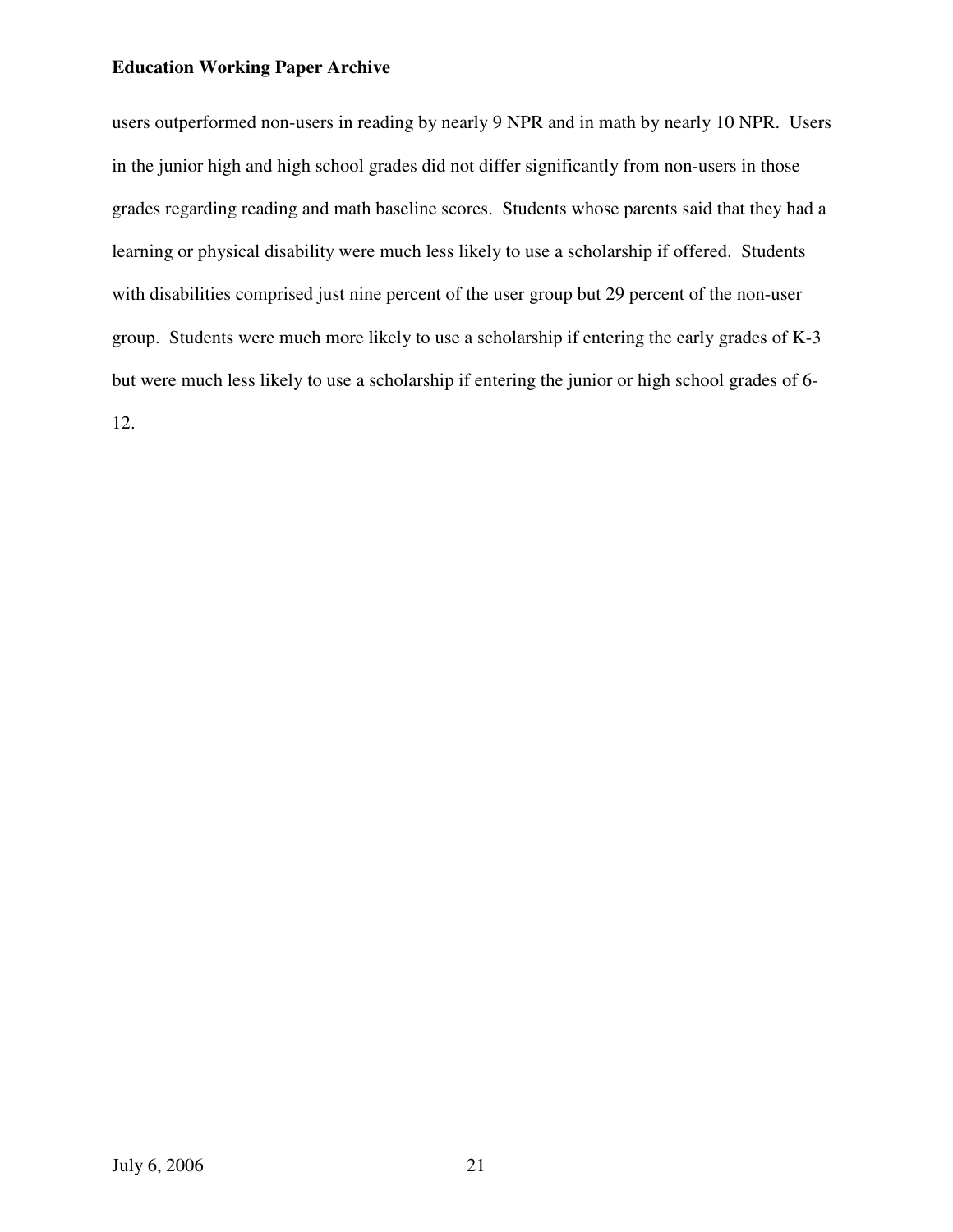users outperformed non-users in reading by nearly 9 NPR and in math by nearly 10 NPR. Users in the junior high and high school grades did not differ significantly from non-users in those grades regarding reading and math baseline scores. Students whose parents said that they had a learning or physical disability were much less likely to use a scholarship if offered. Students with disabilities comprised just nine percent of the user group but 29 percent of the non-user group. Students were much more likely to use a scholarship if entering the early grades of K-3 but were much less likely to use a scholarship if entering the junior or high school grades of 6- 12.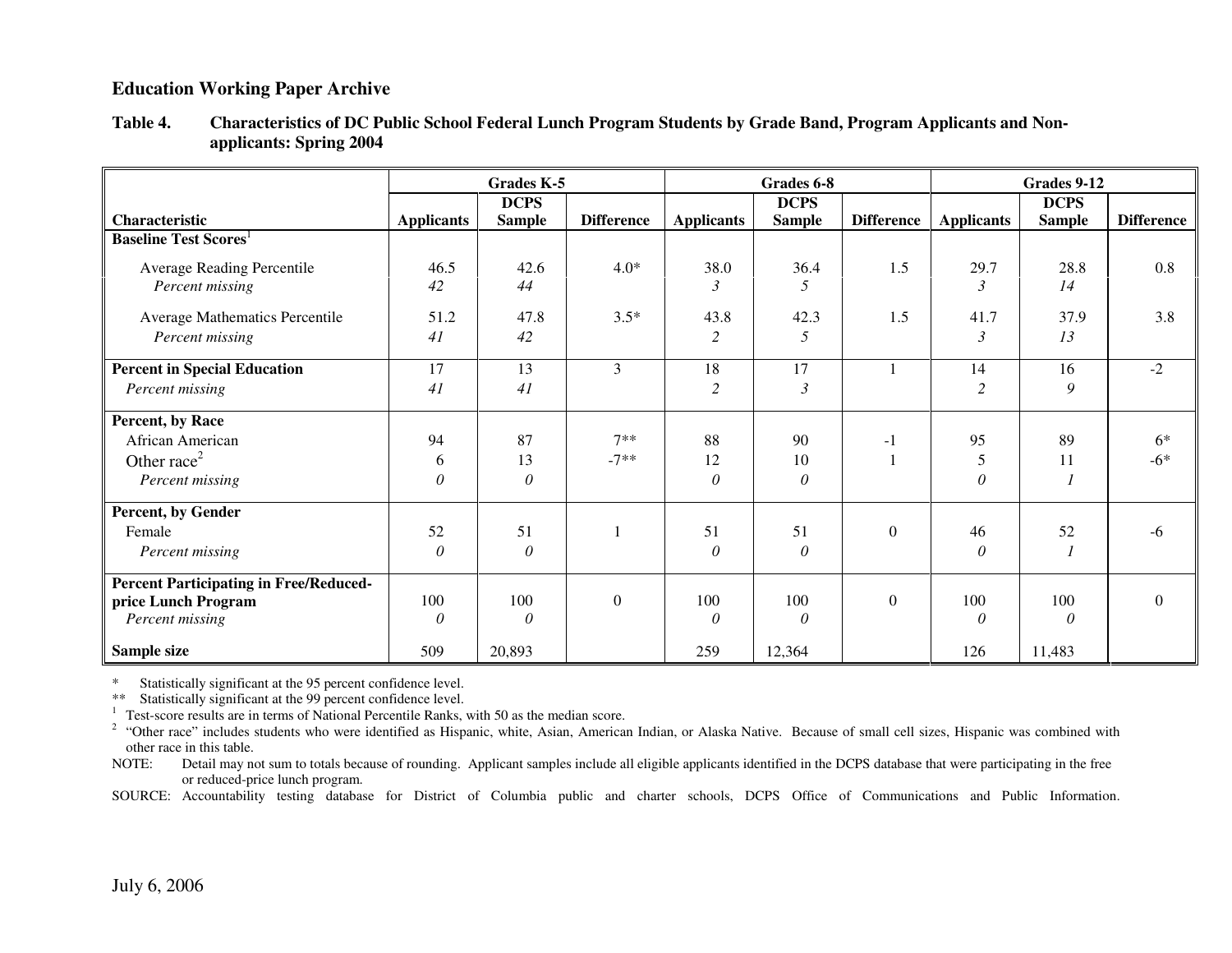|                                               |                   | <b>Grades K-5</b> |                   |                   | Grades 6-8    |                   |                   | Grades 9-12   |                   |
|-----------------------------------------------|-------------------|-------------------|-------------------|-------------------|---------------|-------------------|-------------------|---------------|-------------------|
|                                               |                   | <b>DCPS</b>       |                   |                   | <b>DCPS</b>   |                   |                   | <b>DCPS</b>   |                   |
| Characteristic                                | <b>Applicants</b> | <b>Sample</b>     | <b>Difference</b> | <b>Applicants</b> | <b>Sample</b> | <b>Difference</b> | <b>Applicants</b> | <b>Sample</b> | <b>Difference</b> |
| <b>Baseline Test Scores</b>                   |                   |                   |                   |                   |               |                   |                   |               |                   |
| <b>Average Reading Percentile</b>             | 46.5              | 42.6              | $4.0*$            | 38.0              | 36.4          | 1.5               | 29.7              | 28.8          | 0.8               |
| Percent missing                               | 42                | 44                |                   | 3                 | 5             |                   | $\mathfrak{Z}$    | 14            |                   |
| Average Mathematics Percentile                | 51.2              | 47.8              | $3.5*$            | 43.8              | 42.3          | 1.5               | 41.7              | 37.9          | 3.8               |
| Percent missing                               | 41                | 42                |                   | $\overline{2}$    | 5             |                   | $\mathfrak{Z}$    | 13            |                   |
| <b>Percent in Special Education</b>           | 17                | 13                | 3                 | 18                | 17            |                   | 14                | 16            | $-2$              |
| Percent missing                               | 41                | 41                |                   | $\overline{c}$    | 3             |                   | $\overline{c}$    | 9             |                   |
| Percent, by Race                              |                   |                   |                   |                   |               |                   |                   |               |                   |
| African American                              | 94                | 87                | $7**$             | 88                | 90            | $-1$              | 95                | 89            | $6*$              |
| Other race <sup>2</sup>                       | 6                 | 13                | $-7**$            | 12                | 10            |                   | 5                 | 11            | $-6*$             |
| Percent missing                               | 0                 | $\theta$          |                   | $\theta$          | 0             |                   | $\theta$          | 1             |                   |
| Percent, by Gender                            |                   |                   |                   |                   |               |                   |                   |               |                   |
| Female                                        | 52                | 51                |                   | 51                | 51            | $\Omega$          | 46                | 52            | -6                |
| Percent missing                               | $\theta$          | $\theta$          |                   | $\theta$          | $\theta$      |                   | $\theta$          | $\mathcal{I}$ |                   |
| <b>Percent Participating in Free/Reduced-</b> |                   |                   |                   |                   |               |                   |                   |               |                   |
| price Lunch Program                           | 100               | 100               | $\boldsymbol{0}$  | 100               | 100           | $\overline{0}$    | 100               | 100           | $\overline{0}$    |
| Percent missing                               | 0                 | $\theta$          |                   | $\theta$          | 0             |                   | 0                 | $\theta$      |                   |
| Sample size                                   | 509               | 20,893            |                   | 259               | 12,364        |                   | 126               | 11,483        |                   |

**Table 4. Characteristics of DC Public School Federal Lunch Program Students by Grade Band, Program Applicants and Nonapplicants: Spring 2004** 

\* Statistically significant at the 95 percent confidence level.

\*\* Statistically significant at the 99 percent confidence level.

 $1$  Test-score results are in terms of National Percentile Ranks, with 50 as the median score.

 $<sup>2</sup>$  "Other race" includes students who were identified as Hispanic, white, Asian, American Indian, or Alaska Native. Because of small cell sizes, Hispanic was combined with</sup> other race in this table.

 NOTE: Detail may not sum to totals because of rounding. Applicant samples include all eligible applicants identified in the DCPS database that were participating in the free or reduced-price lunch program.

SOURCE: Accountability testing database for District of Columbia public and charter schools, DCPS Office of Communications and Public Information.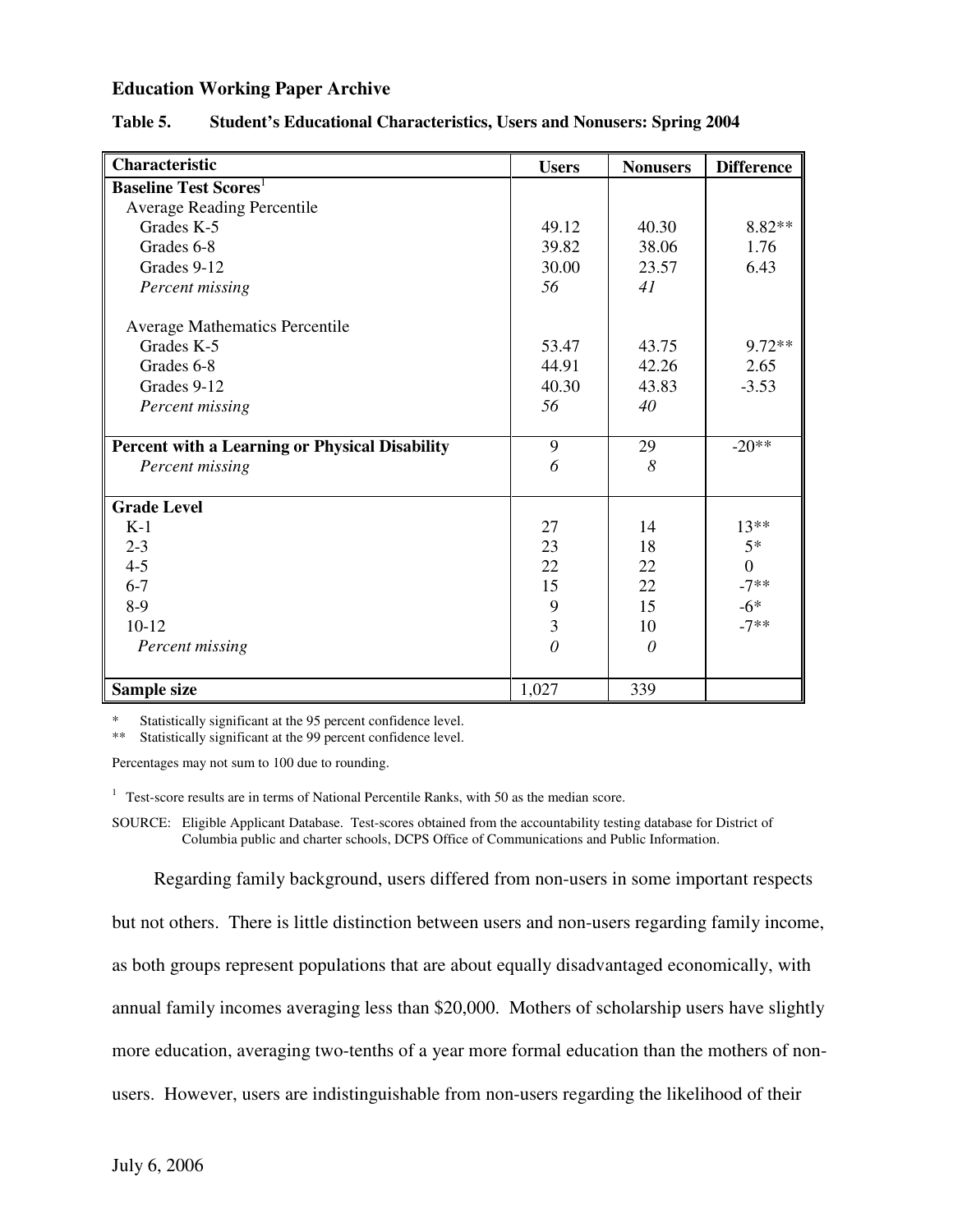| Characteristic                                        | <b>Users</b> | <b>Nonusers</b> | <b>Difference</b> |
|-------------------------------------------------------|--------------|-----------------|-------------------|
| <b>Baseline Test Scores</b>                           |              |                 |                   |
| <b>Average Reading Percentile</b>                     |              |                 |                   |
| Grades K-5                                            | 49.12        | 40.30           | 8.82**            |
| Grades 6-8                                            | 39.82        | 38.06           | 1.76              |
| Grades 9-12                                           | 30.00        | 23.57           | 6.43              |
| Percent missing                                       | 56           | 41              |                   |
| Average Mathematics Percentile                        |              |                 |                   |
| Grades K-5                                            | 53.47        | 43.75           | $9.72**$          |
| Grades 6-8                                            | 44.91        | 42.26           | 2.65              |
| Grades 9-12                                           | 40.30        | 43.83           | $-3.53$           |
| Percent missing                                       | 56           | 40              |                   |
| <b>Percent with a Learning or Physical Disability</b> | 9            | 29              | $-20**$           |
| Percent missing                                       | 6            | 8               |                   |
| <b>Grade Level</b>                                    |              |                 |                   |
| $K-1$                                                 | 27           | 14              | $13**$            |
| $2 - 3$                                               | 23           | 18              | $5*$              |
| $4 - 5$                                               | 22           | 22              | $\overline{0}$    |
| $6 - 7$                                               | 15           | 22              | $-7**$            |
| $8-9$                                                 | 9            | 15              | $-6*$             |
| $10-12$                                               | 3            | 10              | $-7**$            |
| Percent missing                                       | $\theta$     | $\theta$        |                   |
| Sample size                                           | 1,027        | 339             |                   |

#### **Table 5. Student's Educational Characteristics, Users and Nonusers: Spring 2004**

\* Statistically significant at the 95 percent confidence level.

\*\* Statistically significant at the 99 percent confidence level.

Percentages may not sum to 100 due to rounding.

<sup>1</sup> Test-score results are in terms of National Percentile Ranks, with 50 as the median score.

SOURCE: Eligible Applicant Database. Test-scores obtained from the accountability testing database for District of Columbia public and charter schools, DCPS Office of Communications and Public Information.

Regarding family background, users differed from non-users in some important respects

but not others. There is little distinction between users and non-users regarding family income,

as both groups represent populations that are about equally disadvantaged economically, with

annual family incomes averaging less than \$20,000. Mothers of scholarship users have slightly

more education, averaging two-tenths of a year more formal education than the mothers of non-

users. However, users are indistinguishable from non-users regarding the likelihood of their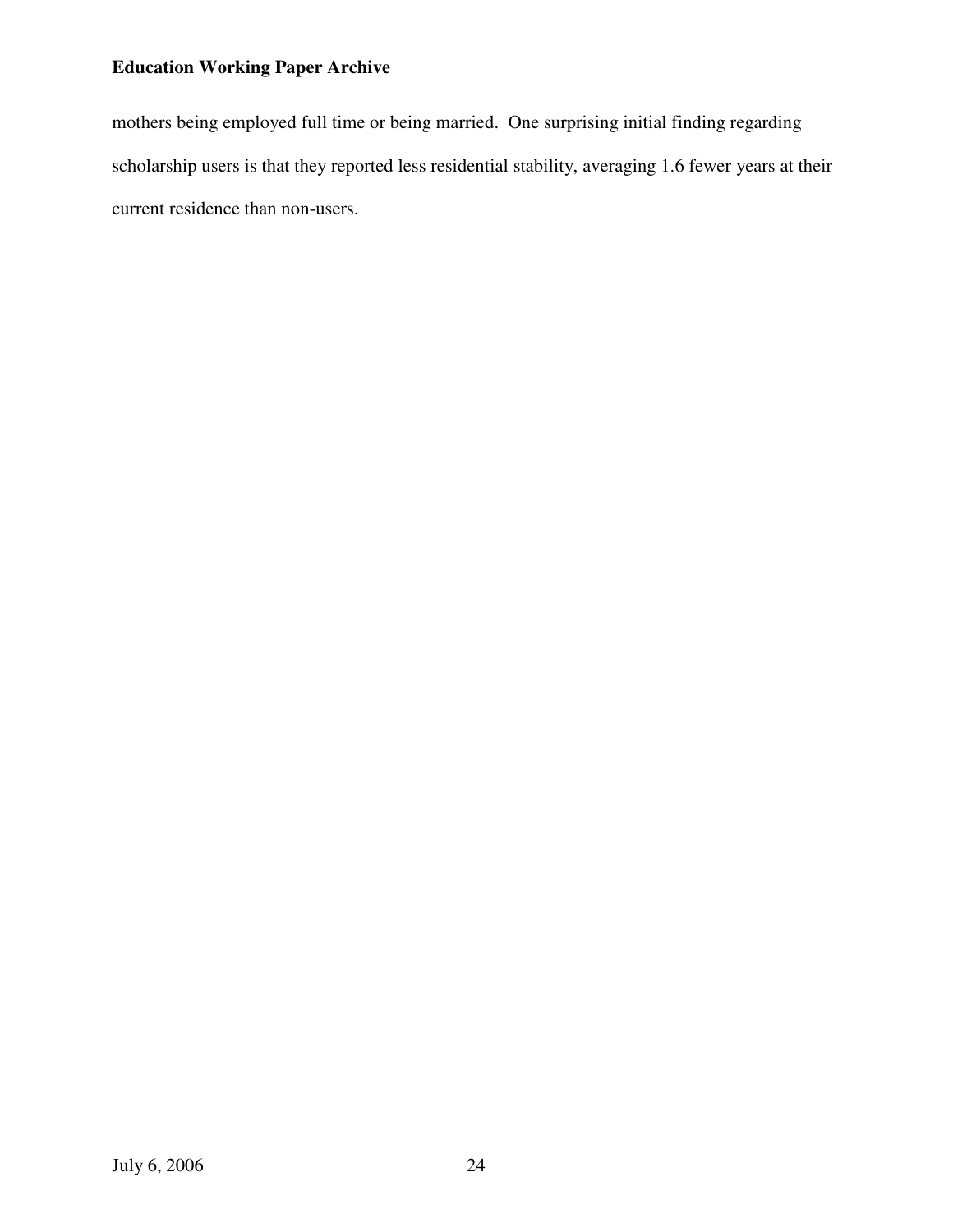mothers being employed full time or being married. One surprising initial finding regarding scholarship users is that they reported less residential stability, averaging 1.6 fewer years at their current residence than non-users.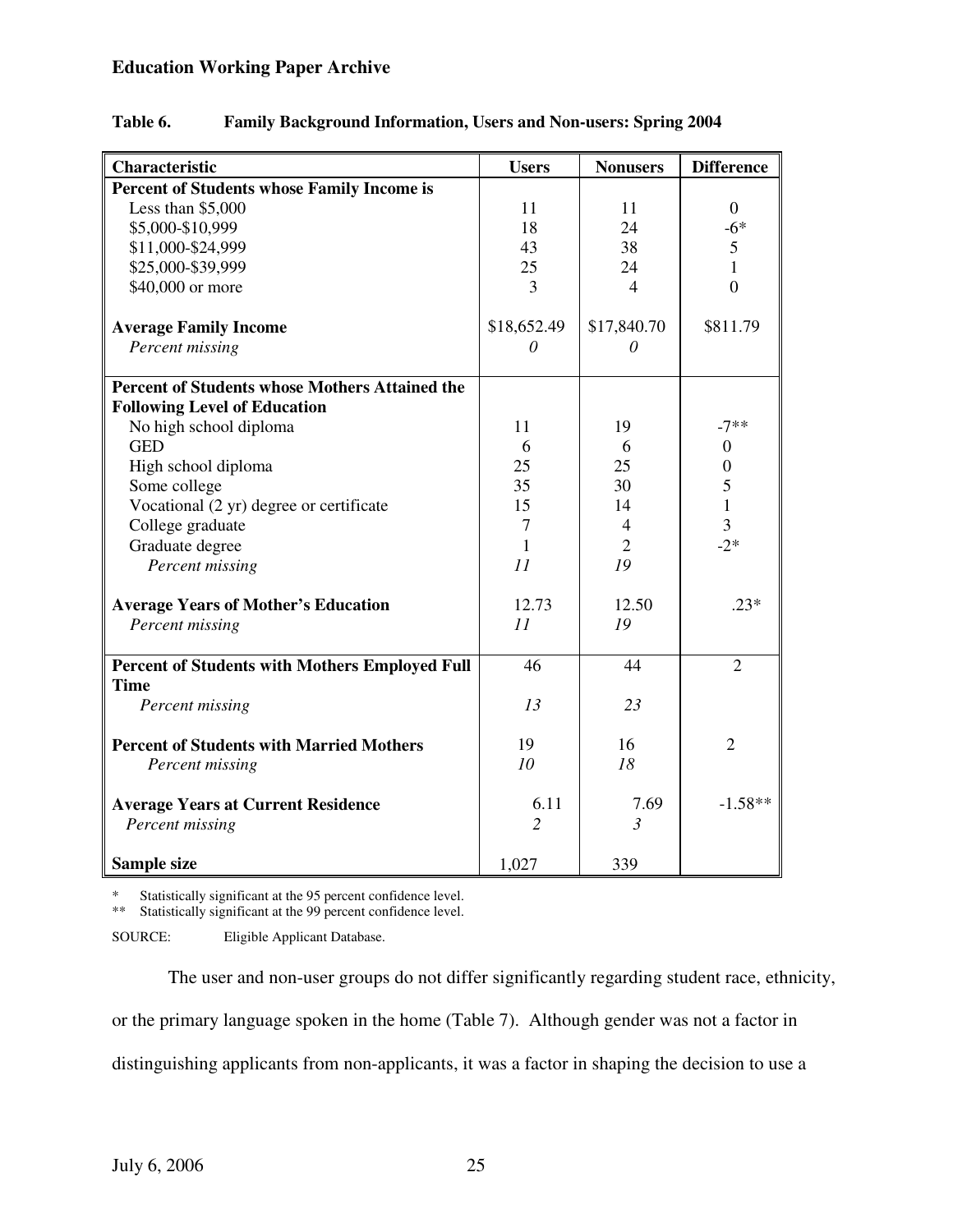| <b>Percent of Students whose Family Income is</b><br>Less than $$5,000$<br>\$5,000-\$10,999 | 11<br>18<br>43 | 11               |                  |
|---------------------------------------------------------------------------------------------|----------------|------------------|------------------|
|                                                                                             |                |                  |                  |
|                                                                                             |                |                  | $\overline{0}$   |
|                                                                                             |                | 24               | $-6*$            |
| \$11,000-\$24,999                                                                           |                | 38               | 5                |
| \$25,000-\$39,999                                                                           | 25             | 24               | 1                |
| \$40,000 or more                                                                            | 3              | 4                | $\overline{0}$   |
|                                                                                             |                |                  | \$811.79         |
| <b>Average Family Income</b>                                                                | \$18,652.49    | \$17,840.70<br>0 |                  |
| Percent missing                                                                             | 0              |                  |                  |
| <b>Percent of Students whose Mothers Attained the</b>                                       |                |                  |                  |
| <b>Following Level of Education</b>                                                         |                |                  |                  |
| No high school diploma                                                                      | 11             | 19               | $-7**$           |
| <b>GED</b>                                                                                  | 6              | 6                | $\boldsymbol{0}$ |
| High school diploma                                                                         | 25             | 25               | 0                |
| Some college                                                                                | 35             | 30               | 5                |
| Vocational (2 yr) degree or certificate                                                     | 15             | 14               | 1                |
| College graduate                                                                            | 7              | 4                | 3                |
| Graduate degree                                                                             | 1              | $\overline{2}$   | $-2*$            |
| Percent missing                                                                             | 11             | 19               |                  |
| <b>Average Years of Mother's Education</b>                                                  | 12.73          | 12.50            | $.23*$           |
| Percent missing                                                                             | 11             | 19               |                  |
|                                                                                             |                |                  |                  |
| <b>Percent of Students with Mothers Employed Full</b>                                       | 46             | 44               | $\overline{2}$   |
| <b>Time</b>                                                                                 |                |                  |                  |
| Percent missing                                                                             | 13             | 23               |                  |
| <b>Percent of Students with Married Mothers</b>                                             | 19             | 16               | $\overline{2}$   |
| Percent missing                                                                             | 10             | 18               |                  |
|                                                                                             |                |                  |                  |
| <b>Average Years at Current Residence</b>                                                   | 6.11           | 7.69             | $-1.58**$        |
| Percent missing                                                                             | 2              | 3                |                  |
| Sample size                                                                                 | 1,027          | 339              |                  |

## **Table 6. Family Background Information, Users and Non-users: Spring 2004**

\* Statistically significant at the 95 percent confidence level.

\*\* Statistically significant at the 99 percent confidence level.

SOURCE: Eligible Applicant Database.

The user and non-user groups do not differ significantly regarding student race, ethnicity,

or the primary language spoken in the home (Table 7). Although gender was not a factor in

distinguishing applicants from non-applicants, it was a factor in shaping the decision to use a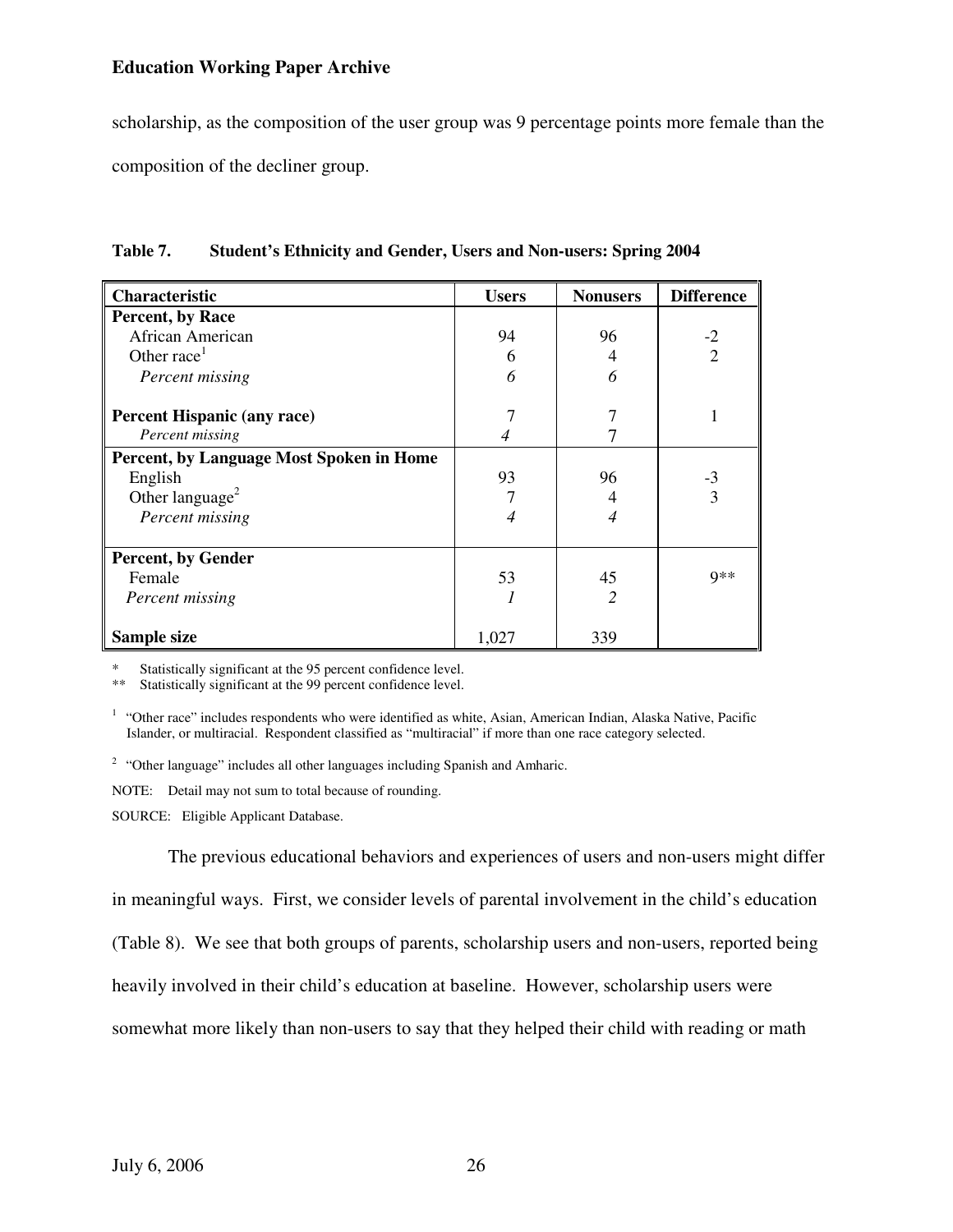scholarship, as the composition of the user group was 9 percentage points more female than the composition of the decliner group.

| Characteristic                           | <b>Users</b> | <b>Nonusers</b> | <b>Difference</b> |
|------------------------------------------|--------------|-----------------|-------------------|
| Percent, by Race                         |              |                 |                   |
| African American                         | 94           | 96              | $-2$              |
| Other race <sup>1</sup>                  | 6            | 4               | $\mathcal{D}$     |
| Percent missing                          | 6            | 6               |                   |
| <b>Percent Hispanic (any race)</b>       |              |                 |                   |
| Percent missing                          |              |                 |                   |
| Percent, by Language Most Spoken in Home |              |                 |                   |
| English                                  | 93           | 96              | $-3$              |
| Other language <sup>2</sup>              |              |                 | 3                 |
| Percent missing                          | 4            | 4               |                   |
| <b>Percent, by Gender</b>                |              |                 |                   |
| Female                                   | 53           | 45              | $Q**$             |
| Percent missing                          |              |                 |                   |
| Sample size                              | 1,027        | 339             |                   |

| Table 7.<br><b>Student's Ethnicity and Gender, Users and Non-users: Spring 2004</b> |  |
|-------------------------------------------------------------------------------------|--|
|-------------------------------------------------------------------------------------|--|

\* Statistically significant at the 95 percent confidence level.

\*\* Statistically significant at the 99 percent confidence level.

<sup>2</sup> "Other language" includes all other languages including Spanish and Amharic.

NOTE: Detail may not sum to total because of rounding.

SOURCE: Eligible Applicant Database.

The previous educational behaviors and experiences of users and non-users might differ in meaningful ways. First, we consider levels of parental involvement in the child's education (Table 8). We see that both groups of parents, scholarship users and non-users, reported being heavily involved in their child's education at baseline. However, scholarship users were somewhat more likely than non-users to say that they helped their child with reading or math

<sup>&</sup>lt;sup>1</sup> "Other race" includes respondents who were identified as white, Asian, American Indian, Alaska Native, Pacific Islander, or multiracial. Respondent classified as "multiracial" if more than one race category selected.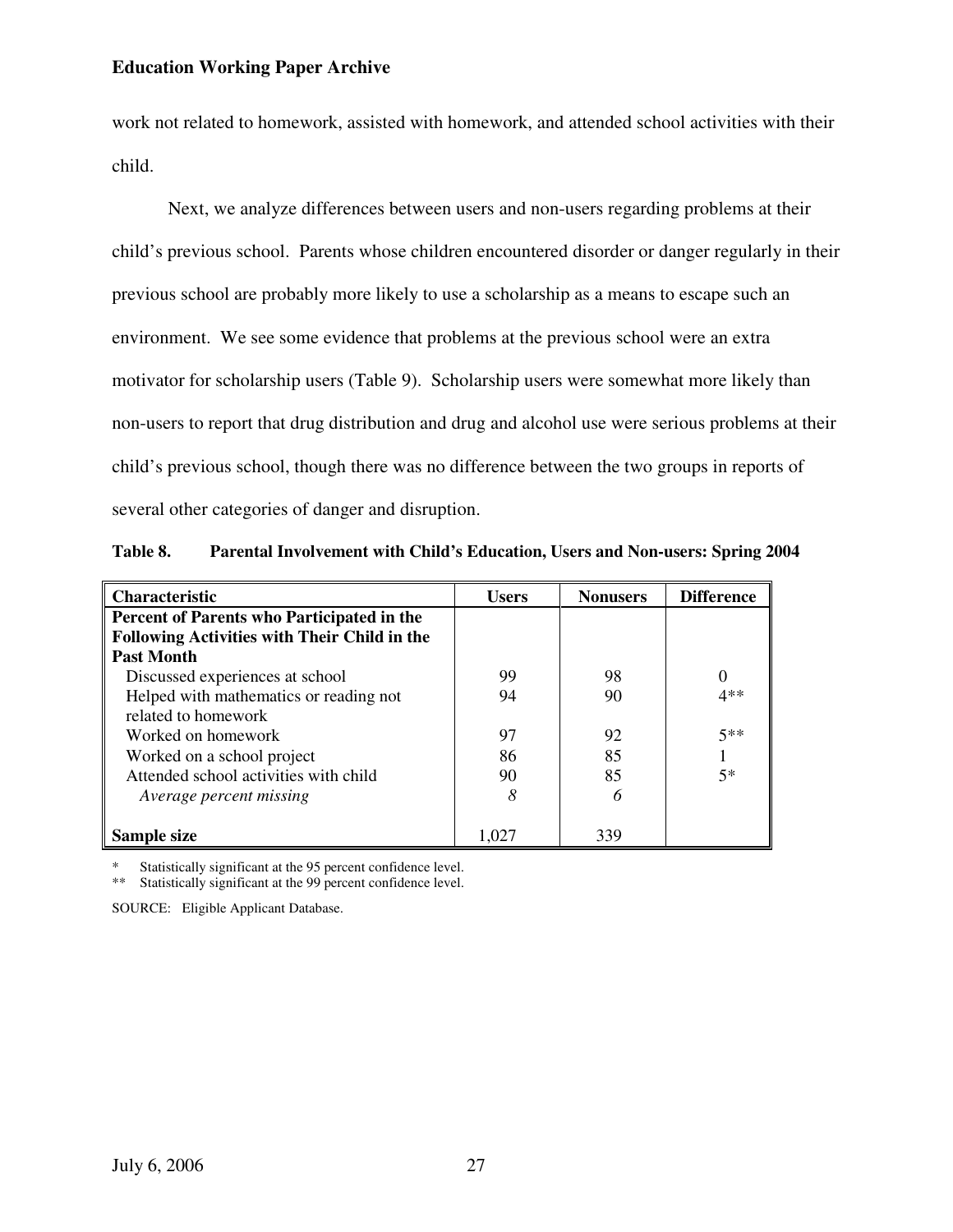work not related to homework, assisted with homework, and attended school activities with their child.

Next, we analyze differences between users and non-users regarding problems at their child's previous school. Parents whose children encountered disorder or danger regularly in their previous school are probably more likely to use a scholarship as a means to escape such an environment. We see some evidence that problems at the previous school were an extra motivator for scholarship users (Table 9). Scholarship users were somewhat more likely than non-users to report that drug distribution and drug and alcohol use were serious problems at their child's previous school, though there was no difference between the two groups in reports of several other categories of danger and disruption.

| Table 8. | Parental Involvement with Child's Education, Users and Non-users: Spring 2004 |
|----------|-------------------------------------------------------------------------------|
|----------|-------------------------------------------------------------------------------|

| <b>Characteristic</b>                               | <b>Users</b> | <b>Nonusers</b> | <b>Difference</b> |
|-----------------------------------------------------|--------------|-----------------|-------------------|
| Percent of Parents who Participated in the          |              |                 |                   |
| <b>Following Activities with Their Child in the</b> |              |                 |                   |
| <b>Past Month</b>                                   |              |                 |                   |
| Discussed experiences at school                     | 99           | 98              | $\Omega$          |
| Helped with mathematics or reading not              | 94           | 90              | $4**$             |
| related to homework                                 |              |                 |                   |
| Worked on homework                                  | 97           | 92              | $5**$             |
| Worked on a school project                          | 86           | 85              |                   |
| Attended school activities with child               | 90           | 85              | $5*$              |
| Average percent missing                             | 8            | 6               |                   |
|                                                     |              |                 |                   |
| Sample size                                         | 1.027        | 339             |                   |

Statistically significant at the 95 percent confidence level.

\*\* Statistically significant at the 99 percent confidence level.

SOURCE: Eligible Applicant Database.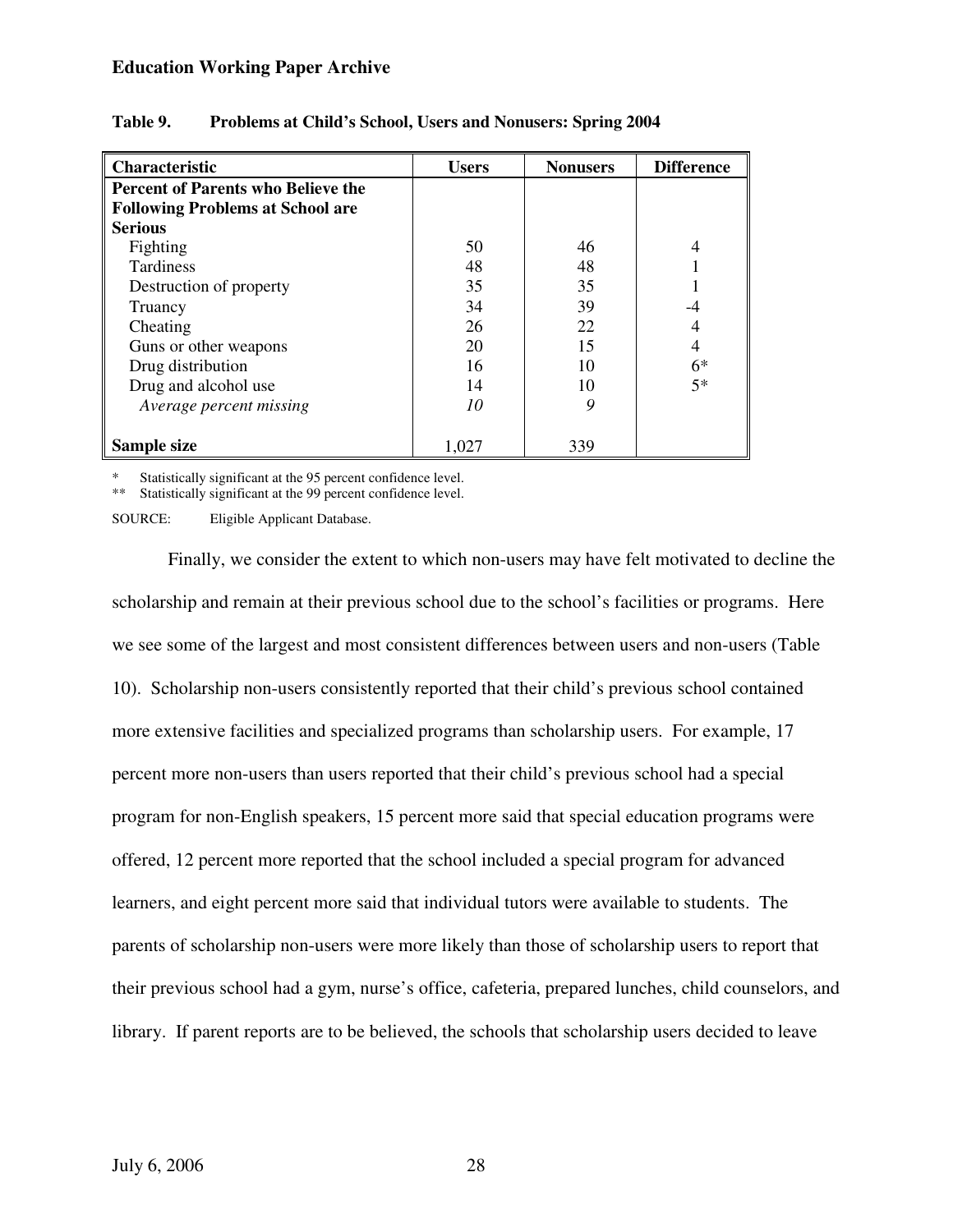| Characteristic                            | <b>Users</b> | <b>Nonusers</b> | <b>Difference</b> |
|-------------------------------------------|--------------|-----------------|-------------------|
| <b>Percent of Parents who Believe the</b> |              |                 |                   |
| <b>Following Problems at School are</b>   |              |                 |                   |
| <b>Serious</b>                            |              |                 |                   |
| Fighting                                  | 50           | 46              | $\overline{4}$    |
| <b>Tardiness</b>                          | 48           | 48              |                   |
| Destruction of property                   | 35           | 35              |                   |
| Truancy                                   | 34           | 39              | -4                |
| Cheating                                  | 26           | 22              | 4                 |
| Guns or other weapons                     | 20           | 15              | 4                 |
| Drug distribution                         | 16           | 10              | $6*$              |
| Drug and alcohol use                      | 14           | 10              | $5*$              |
| Average percent missing                   | 10           | 9               |                   |
| Sample size                               | 1,027        | 339             |                   |

### **Table 9. Problems at Child's School, Users and Nonusers: Spring 2004**

Statistically significant at the 95 percent confidence level.

\*\* Statistically significant at the 99 percent confidence level.

SOURCE: Eligible Applicant Database.

Finally, we consider the extent to which non-users may have felt motivated to decline the scholarship and remain at their previous school due to the school's facilities or programs. Here we see some of the largest and most consistent differences between users and non-users (Table 10). Scholarship non-users consistently reported that their child's previous school contained more extensive facilities and specialized programs than scholarship users. For example, 17 percent more non-users than users reported that their child's previous school had a special program for non-English speakers, 15 percent more said that special education programs were offered, 12 percent more reported that the school included a special program for advanced learners, and eight percent more said that individual tutors were available to students. The parents of scholarship non-users were more likely than those of scholarship users to report that their previous school had a gym, nurse's office, cafeteria, prepared lunches, child counselors, and library. If parent reports are to be believed, the schools that scholarship users decided to leave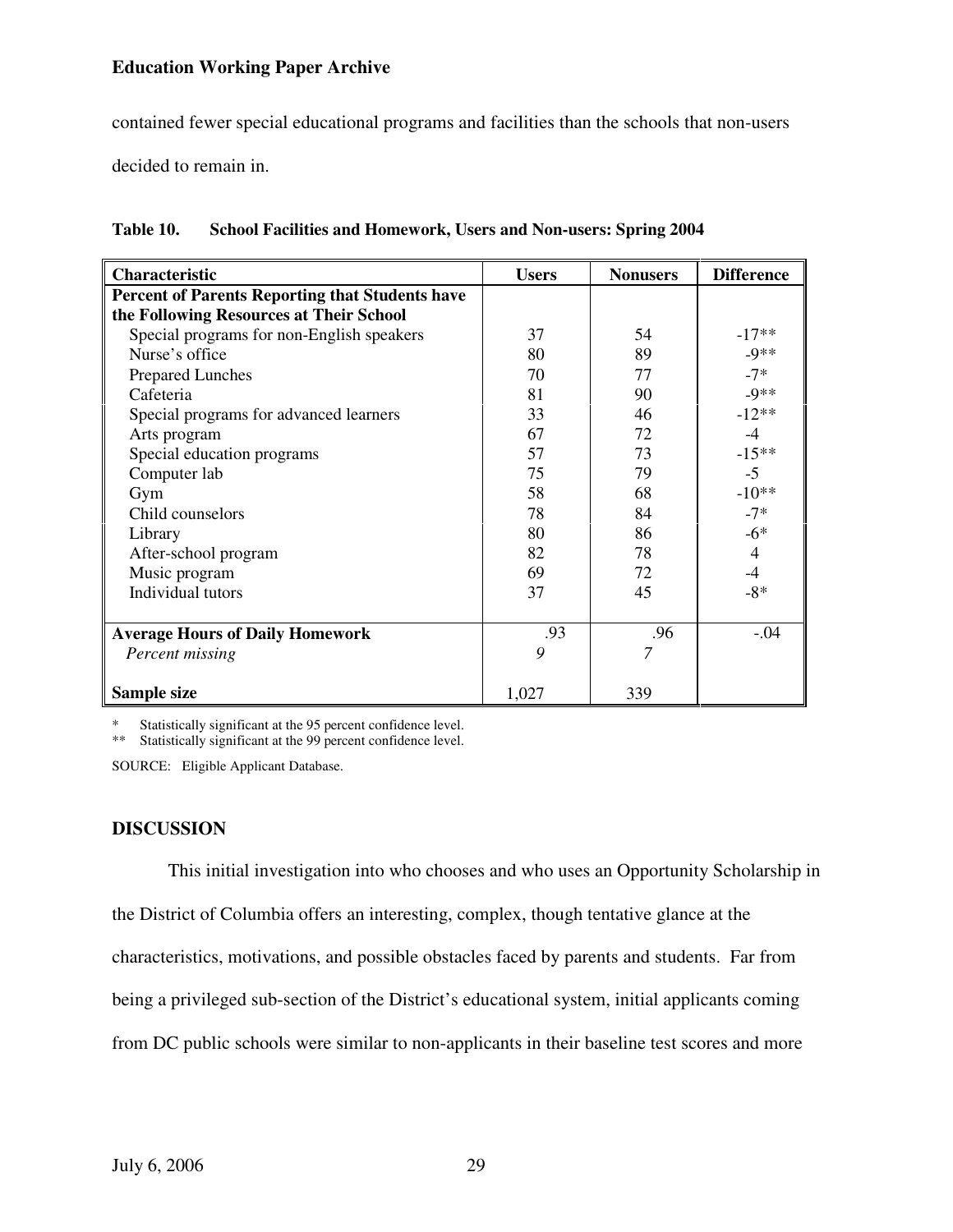contained fewer special educational programs and facilities than the schools that non-users

decided to remain in.

| Characteristic                                         | <b>Users</b> | <b>Nonusers</b> | <b>Difference</b> |
|--------------------------------------------------------|--------------|-----------------|-------------------|
| <b>Percent of Parents Reporting that Students have</b> |              |                 |                   |
| the Following Resources at Their School                |              |                 |                   |
| Special programs for non-English speakers              | 37           | 54              | $-17**$           |
| Nurse's office                                         | 80           | 89              | $-9**$            |
| <b>Prepared Lunches</b>                                | 70           | 77              | $-7*$             |
| Cafeteria                                              | 81           | 90              | $-9**$            |
| Special programs for advanced learners                 | 33           | 46              | $-12**$           |
| Arts program                                           | 67           | 72              | $-4$              |
| Special education programs                             | 57           | 73              | $-15**$           |
| Computer lab                                           | 75           | 79              | $-5$              |
| Gym                                                    | 58           | 68              | $-10**$           |
| Child counselors                                       | 78           | 84              | $-7*$             |
| Library                                                | 80           | 86              | $-6*$             |
| After-school program                                   | 82           | 78              | $\overline{4}$    |
| Music program                                          | 69           | 72              | $-4$              |
| Individual tutors                                      | 37           | 45              | $-8*$             |
|                                                        |              |                 |                   |
| <b>Average Hours of Daily Homework</b>                 | .93          | .96             | $-.04$            |
| Percent missing                                        | 9            | 7               |                   |
|                                                        |              |                 |                   |
| Sample size                                            | 1,027        | 339             |                   |

**Table 10. School Facilities and Homework, Users and Non-users: Spring 2004** 

Statistically significant at the 95 percent confidence level.

\*\* Statistically significant at the 99 percent confidence level.

SOURCE: Eligible Applicant Database.

## **DISCUSSION**

This initial investigation into who chooses and who uses an Opportunity Scholarship in the District of Columbia offers an interesting, complex, though tentative glance at the characteristics, motivations, and possible obstacles faced by parents and students. Far from being a privileged sub-section of the District's educational system, initial applicants coming from DC public schools were similar to non-applicants in their baseline test scores and more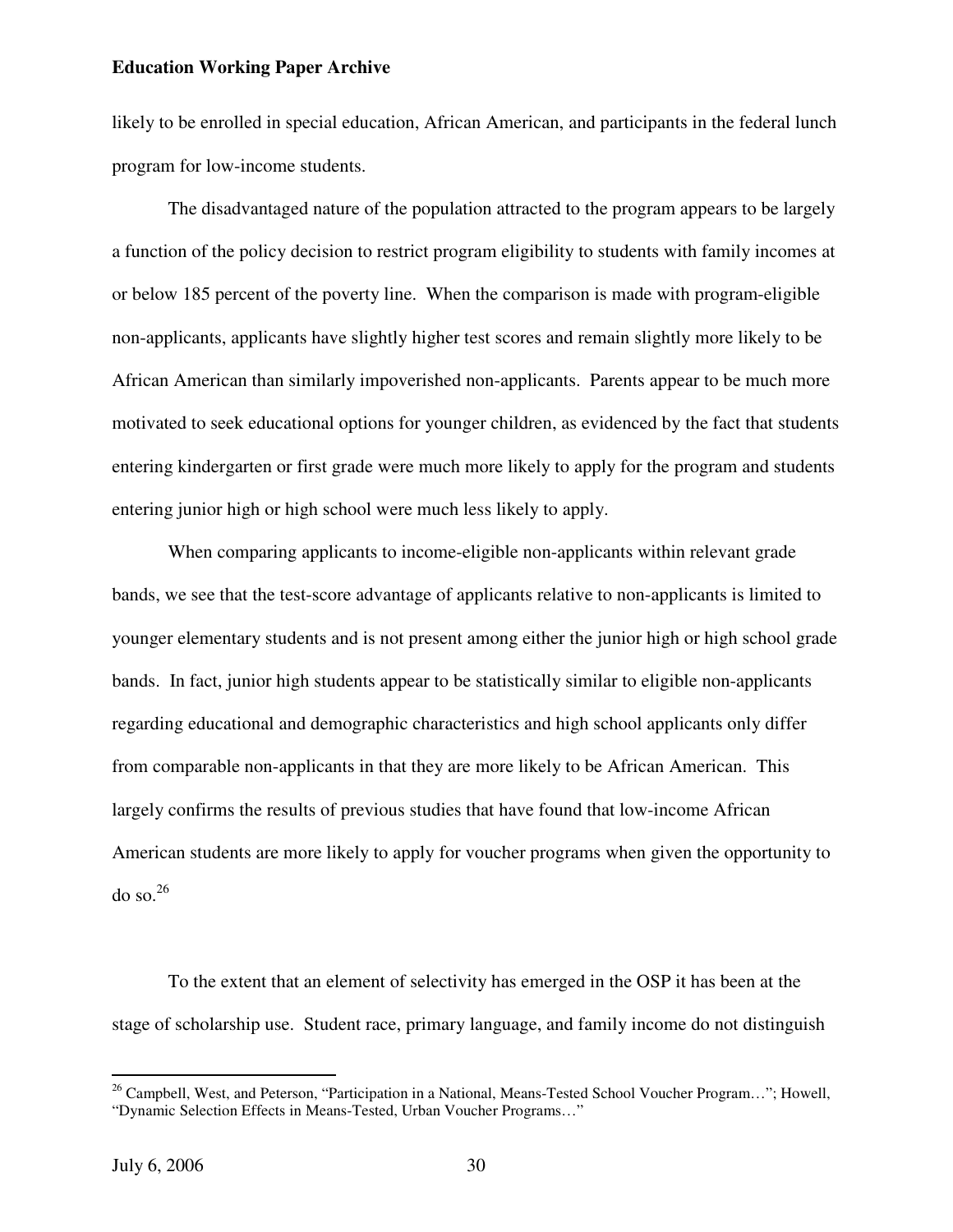likely to be enrolled in special education, African American, and participants in the federal lunch program for low-income students.

The disadvantaged nature of the population attracted to the program appears to be largely a function of the policy decision to restrict program eligibility to students with family incomes at or below 185 percent of the poverty line. When the comparison is made with program-eligible non-applicants, applicants have slightly higher test scores and remain slightly more likely to be African American than similarly impoverished non-applicants. Parents appear to be much more motivated to seek educational options for younger children, as evidenced by the fact that students entering kindergarten or first grade were much more likely to apply for the program and students entering junior high or high school were much less likely to apply.

When comparing applicants to income-eligible non-applicants within relevant grade bands, we see that the test-score advantage of applicants relative to non-applicants is limited to younger elementary students and is not present among either the junior high or high school grade bands. In fact, junior high students appear to be statistically similar to eligible non-applicants regarding educational and demographic characteristics and high school applicants only differ from comparable non-applicants in that they are more likely to be African American. This largely confirms the results of previous studies that have found that low-income African American students are more likely to apply for voucher programs when given the opportunity to  $\log 26$ 

To the extent that an element of selectivity has emerged in the OSP it has been at the stage of scholarship use. Student race, primary language, and family income do not distinguish

<sup>&</sup>lt;sup>26</sup> Campbell, West, and Peterson, "Participation in a National, Means-Tested School Voucher Program..."; Howell, "Dynamic Selection Effects in Means-Tested, Urban Voucher Programs…"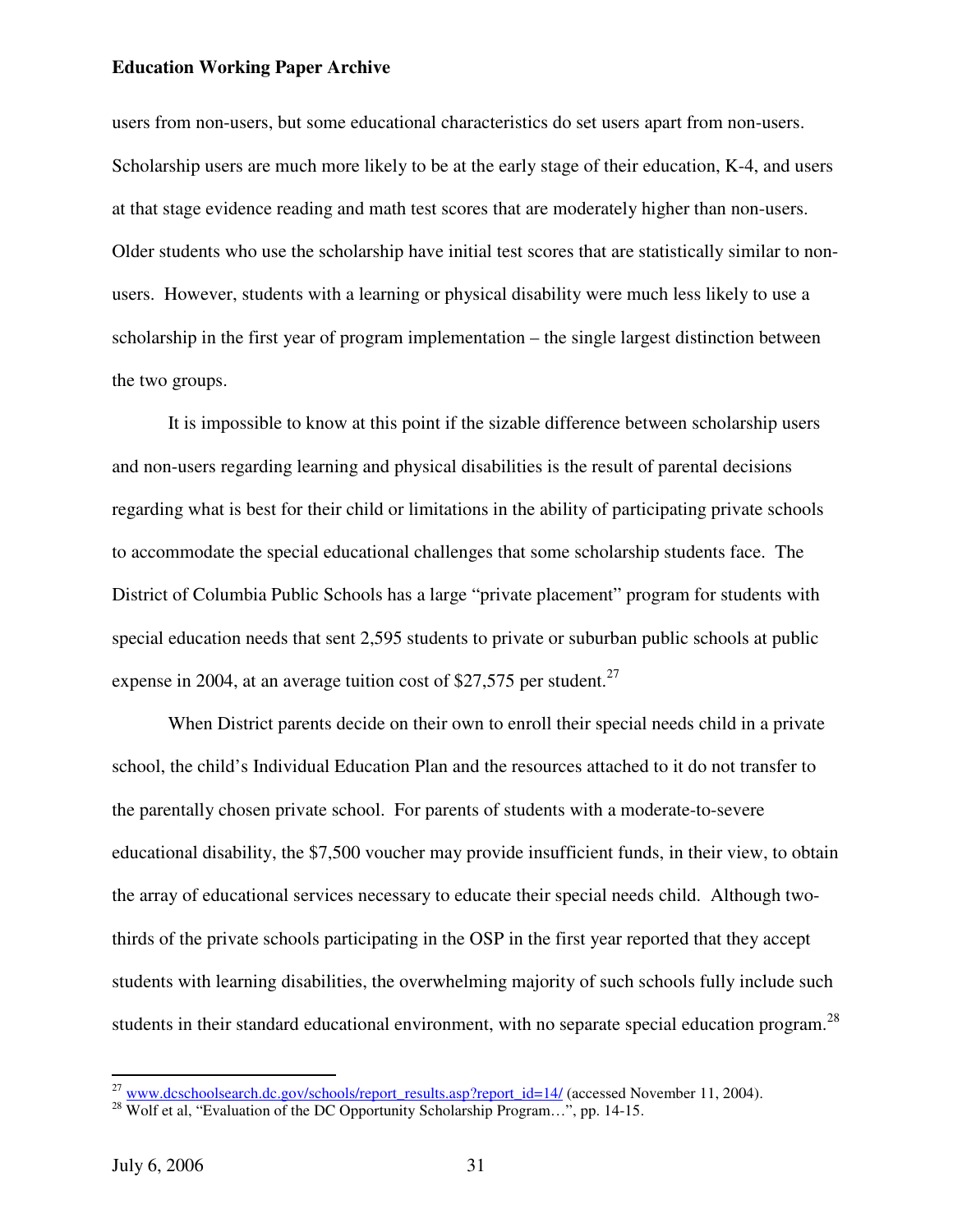users from non-users, but some educational characteristics do set users apart from non-users. Scholarship users are much more likely to be at the early stage of their education, K-4, and users at that stage evidence reading and math test scores that are moderately higher than non-users. Older students who use the scholarship have initial test scores that are statistically similar to nonusers. However, students with a learning or physical disability were much less likely to use a scholarship in the first year of program implementation – the single largest distinction between the two groups.

It is impossible to know at this point if the sizable difference between scholarship users and non-users regarding learning and physical disabilities is the result of parental decisions regarding what is best for their child or limitations in the ability of participating private schools to accommodate the special educational challenges that some scholarship students face. The District of Columbia Public Schools has a large "private placement" program for students with special education needs that sent 2,595 students to private or suburban public schools at public expense in 2004, at an average tuition cost of \$27,575 per student.<sup>27</sup>

When District parents decide on their own to enroll their special needs child in a private school, the child's Individual Education Plan and the resources attached to it do not transfer to the parentally chosen private school. For parents of students with a moderate-to-severe educational disability, the \$7,500 voucher may provide insufficient funds, in their view, to obtain the array of educational services necessary to educate their special needs child. Although twothirds of the private schools participating in the OSP in the first year reported that they accept students with learning disabilities, the overwhelming majority of such schools fully include such students in their standard educational environment, with no separate special education program.<sup>28</sup>

 $^{27}$  www.dcschoolsearch.dc.gov/schools/report\_results.asp?report\_id=14/ (accessed November 11, 2004).

 $^{28}$  Wolf et al, "Evaluation of the DC Opportunity Scholarship Program...", pp. 14-15.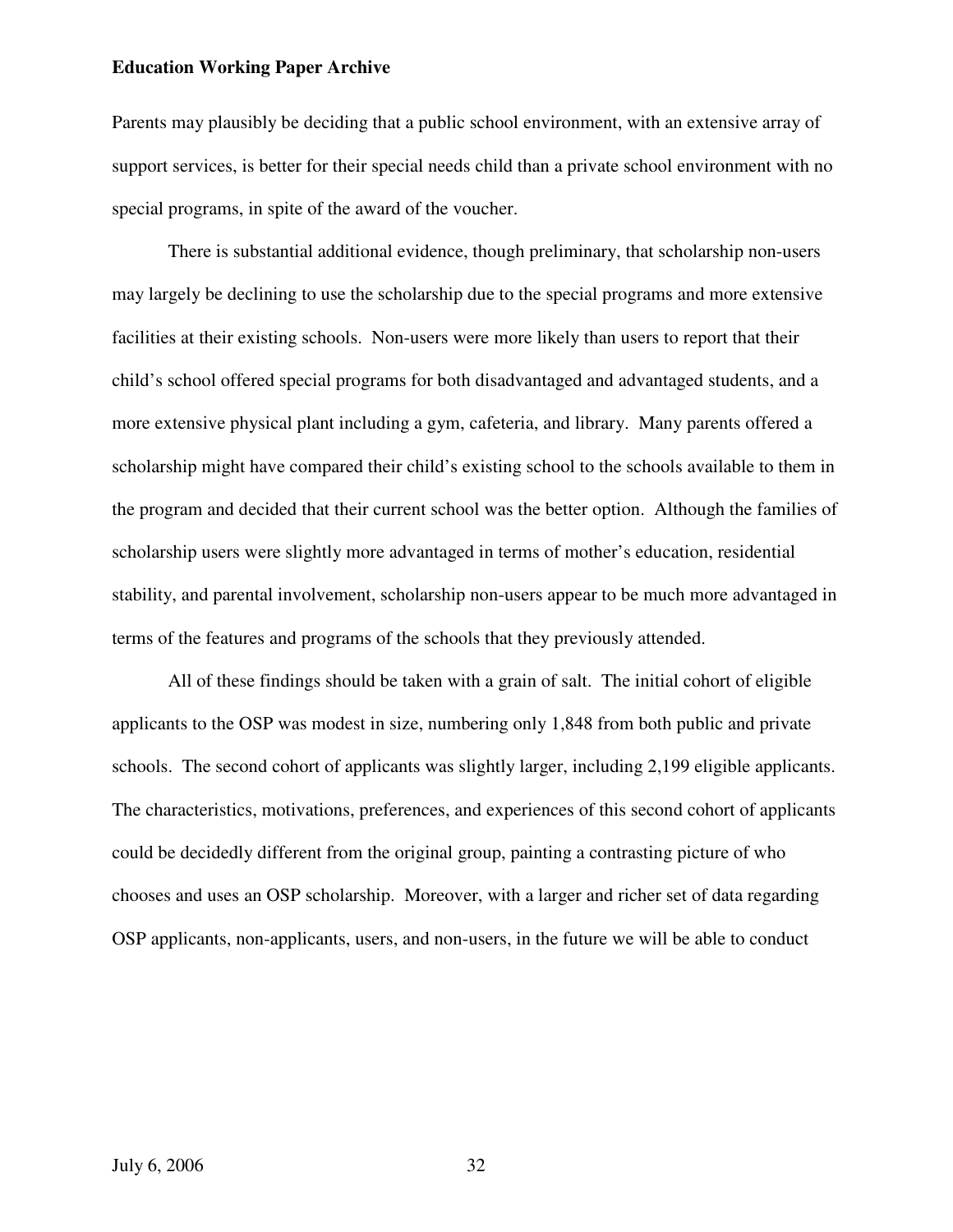Parents may plausibly be deciding that a public school environment, with an extensive array of support services, is better for their special needs child than a private school environment with no special programs, in spite of the award of the voucher.

There is substantial additional evidence, though preliminary, that scholarship non-users may largely be declining to use the scholarship due to the special programs and more extensive facilities at their existing schools. Non-users were more likely than users to report that their child's school offered special programs for both disadvantaged and advantaged students, and a more extensive physical plant including a gym, cafeteria, and library. Many parents offered a scholarship might have compared their child's existing school to the schools available to them in the program and decided that their current school was the better option. Although the families of scholarship users were slightly more advantaged in terms of mother's education, residential stability, and parental involvement, scholarship non-users appear to be much more advantaged in terms of the features and programs of the schools that they previously attended.

All of these findings should be taken with a grain of salt. The initial cohort of eligible applicants to the OSP was modest in size, numbering only 1,848 from both public and private schools. The second cohort of applicants was slightly larger, including 2,199 eligible applicants. The characteristics, motivations, preferences, and experiences of this second cohort of applicants could be decidedly different from the original group, painting a contrasting picture of who chooses and uses an OSP scholarship. Moreover, with a larger and richer set of data regarding OSP applicants, non-applicants, users, and non-users, in the future we will be able to conduct